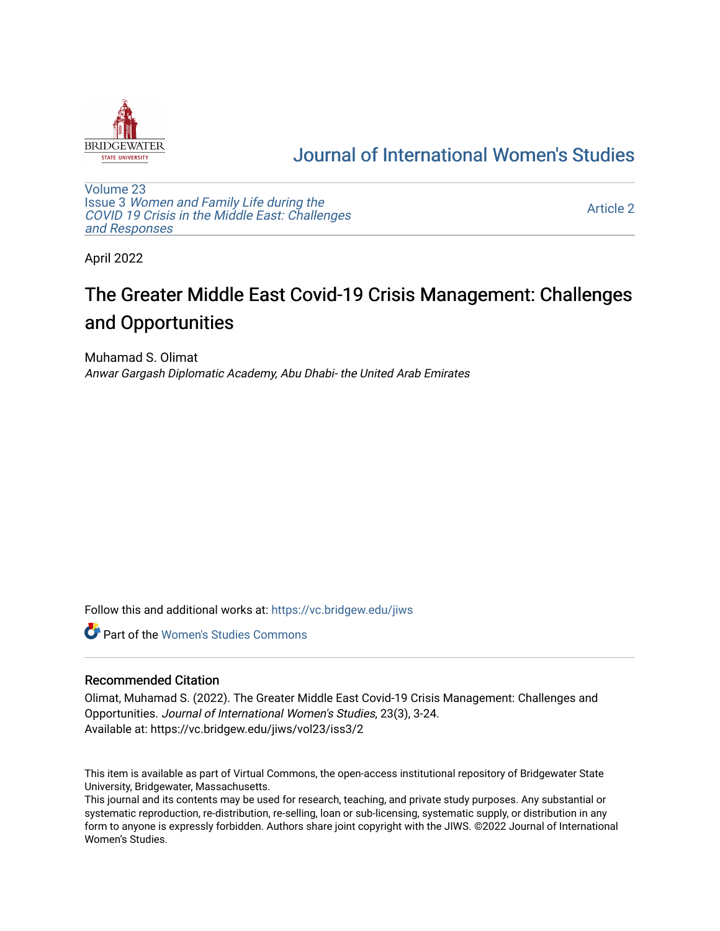

## [Journal of International Women's Studies](https://vc.bridgew.edu/jiws)

[Volume 23](https://vc.bridgew.edu/jiws/vol23) Issue 3 [Women and Family Life during the](https://vc.bridgew.edu/jiws/vol23/iss3)  [COVID 19 Crisis in the Middle East: Challenges](https://vc.bridgew.edu/jiws/vol23/iss3) [and Responses](https://vc.bridgew.edu/jiws/vol23/iss3) 

[Article 2](https://vc.bridgew.edu/jiws/vol23/iss3/2) 

April 2022

# The Greater Middle East Covid-19 Crisis Management: Challenges and Opportunities

Muhamad S. Olimat Anwar Gargash Diplomatic Academy, Abu Dhabi- the United Arab Emirates

Follow this and additional works at: [https://vc.bridgew.edu/jiws](https://vc.bridgew.edu/jiws?utm_source=vc.bridgew.edu%2Fjiws%2Fvol23%2Fiss3%2F2&utm_medium=PDF&utm_campaign=PDFCoverPages)

**C** Part of the Women's Studies Commons

#### Recommended Citation

Olimat, Muhamad S. (2022). The Greater Middle East Covid-19 Crisis Management: Challenges and Opportunities. Journal of International Women's Studies, 23(3), 3-24. Available at: https://vc.bridgew.edu/jiws/vol23/iss3/2

This item is available as part of Virtual Commons, the open-access institutional repository of Bridgewater State University, Bridgewater, Massachusetts.

This journal and its contents may be used for research, teaching, and private study purposes. Any substantial or systematic reproduction, re-distribution, re-selling, loan or sub-licensing, systematic supply, or distribution in any form to anyone is expressly forbidden. Authors share joint copyright with the JIWS. ©2022 Journal of International Women's Studies.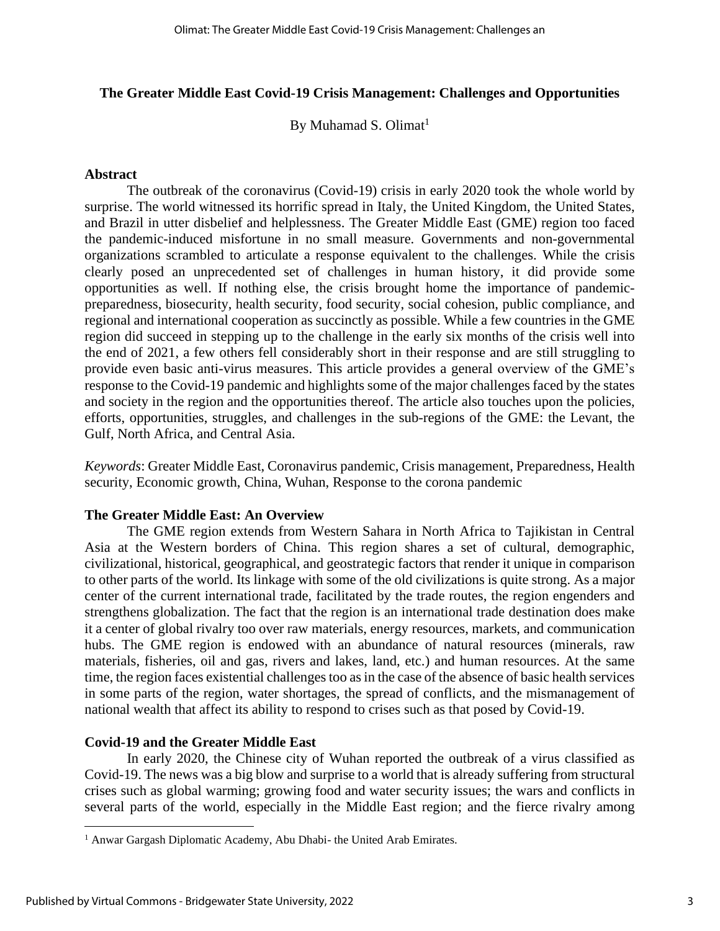#### **The Greater Middle East Covid-19 Crisis Management: Challenges and Opportunities**

By Muhamad S. Olimat $<sup>1</sup>$ </sup>

#### **Abstract**

The outbreak of the coronavirus (Covid-19) crisis in early 2020 took the whole world by surprise. The world witnessed its horrific spread in Italy, the United Kingdom, the United States, and Brazil in utter disbelief and helplessness. The Greater Middle East (GME) region too faced the pandemic-induced misfortune in no small measure. Governments and non-governmental organizations scrambled to articulate a response equivalent to the challenges. While the crisis clearly posed an unprecedented set of challenges in human history, it did provide some opportunities as well. If nothing else, the crisis brought home the importance of pandemicpreparedness, biosecurity, health security, food security, social cohesion, public compliance, and regional and international cooperation as succinctly as possible. While a few countries in the GME region did succeed in stepping up to the challenge in the early six months of the crisis well into the end of 2021, a few others fell considerably short in their response and are still struggling to provide even basic anti-virus measures. This article provides a general overview of the GME's response to the Covid-19 pandemic and highlights some of the major challenges faced by the states and society in the region and the opportunities thereof. The article also touches upon the policies, efforts, opportunities, struggles, and challenges in the sub-regions of the GME: the Levant, the Gulf, North Africa, and Central Asia.

*Keywords*: Greater Middle East, Coronavirus pandemic, Crisis management, Preparedness, Health security, Economic growth, China, Wuhan, Response to the corona pandemic

#### **The Greater Middle East: An Overview**

The GME region extends from Western Sahara in North Africa to Tajikistan in Central Asia at the Western borders of China. This region shares a set of cultural, demographic, civilizational, historical, geographical, and geostrategic factors that render it unique in comparison to other parts of the world. Its linkage with some of the old civilizations is quite strong. As a major center of the current international trade, facilitated by the trade routes, the region engenders and strengthens globalization. The fact that the region is an international trade destination does make it a center of global rivalry too over raw materials, energy resources, markets, and communication hubs. The GME region is endowed with an abundance of natural resources (minerals, raw materials, fisheries, oil and gas, rivers and lakes, land, etc.) and human resources. At the same time, the region faces existential challenges too as in the case of the absence of basic health services in some parts of the region, water shortages, the spread of conflicts, and the mismanagement of national wealth that affect its ability to respond to crises such as that posed by Covid-19.

#### **Covid-19 and the Greater Middle East**

In early 2020, the Chinese city of Wuhan reported the outbreak of a virus classified as Covid-19. The news was a big blow and surprise to a world that is already suffering from structural crises such as global warming; growing food and water security issues; the wars and conflicts in several parts of the world, especially in the Middle East region; and the fierce rivalry among

<sup>&</sup>lt;sup>1</sup> Anwar Gargash Diplomatic Academy, Abu Dhabi- the United Arab Emirates.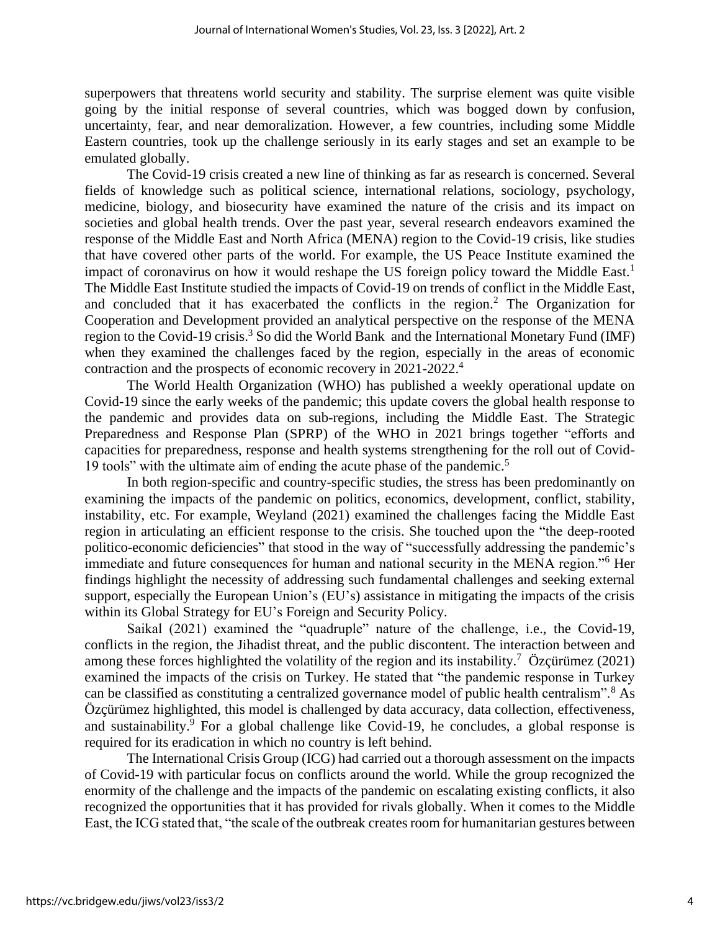superpowers that threatens world security and stability. The surprise element was quite visible going by the initial response of several countries, which was bogged down by confusion, uncertainty, fear, and near demoralization. However, a few countries, including some Middle Eastern countries, took up the challenge seriously in its early stages and set an example to be emulated globally.

The Covid-19 crisis created a new line of thinking as far as research is concerned. Several fields of knowledge such as political science, international relations, sociology, psychology, medicine, biology, and biosecurity have examined the nature of the crisis and its impact on societies and global health trends. Over the past year, several research endeavors examined the response of the Middle East and North Africa (MENA) region to the Covid-19 crisis, like studies that have covered other parts of the world. For example, the US Peace Institute examined the impact of coronavirus on how it would reshape the US foreign policy toward the Middle East.<sup>1</sup> The Middle East Institute studied the impacts of Covid-19 on trends of conflict in the Middle East, and concluded that it has exacerbated the conflicts in the region.<sup>2</sup> The Organization for Cooperation and Development provided an analytical perspective on the response of the MENA region to the Covid-19 crisis.<sup>3</sup> So did the World Bank and the International Monetary Fund (IMF) when they examined the challenges faced by the region, especially in the areas of economic contraction and the prospects of economic recovery in 2021-2022. 4

The World Health Organization (WHO) has published a weekly operational update on Covid-19 since the early weeks of the pandemic; this update covers the global health response to the pandemic and provides data on sub-regions, including the Middle East. The Strategic Preparedness and Response Plan (SPRP) of the WHO in 2021 brings together "efforts and capacities for preparedness, response and health systems strengthening for the roll out of Covid-19 tools" with the ultimate aim of ending the acute phase of the pandemic. 5

In both region-specific and country-specific studies, the stress has been predominantly on examining the impacts of the pandemic on politics, economics, development, conflict, stability, instability, etc. For example, Weyland (2021) examined the challenges facing the Middle East region in articulating an efficient response to the crisis. She touched upon the "the deep-rooted politico-economic deficiencies" that stood in the way of "successfully addressing the pandemic's immediate and future consequences for human and national security in the MENA region."<sup>6</sup> Her findings highlight the necessity of addressing such fundamental challenges and seeking external support, especially the European Union's (EU's) assistance in mitigating the impacts of the crisis within its Global Strategy for EU's Foreign and Security Policy.

Saikal (2021) examined the "quadruple" nature of the challenge, i.e., the Covid-19, conflicts in the region, the Jihadist threat, and the public discontent. The interaction between and among these forces highlighted the volatility of the region and its instability.<sup>7</sup> Özçürümez (2021) examined the impacts of the crisis on Turkey. He stated that "the pandemic response in Turkey can be classified as constituting a centralized governance model of public health centralism".<sup>8</sup> As Özçürümez highlighted, this model is challenged by data accuracy, data collection, effectiveness, and sustainability.<sup>9</sup> For a global challenge like Covid-19, he concludes, a global response is required for its eradication in which no country is left behind.

The International Crisis Group (ICG) had carried out a thorough assessment on the impacts of Covid-19 with particular focus on conflicts around the world. While the group recognized the enormity of the challenge and the impacts of the pandemic on escalating existing conflicts, it also recognized the opportunities that it has provided for rivals globally. When it comes to the Middle East, the ICG stated that, "the scale of the outbreak creates room for humanitarian gestures between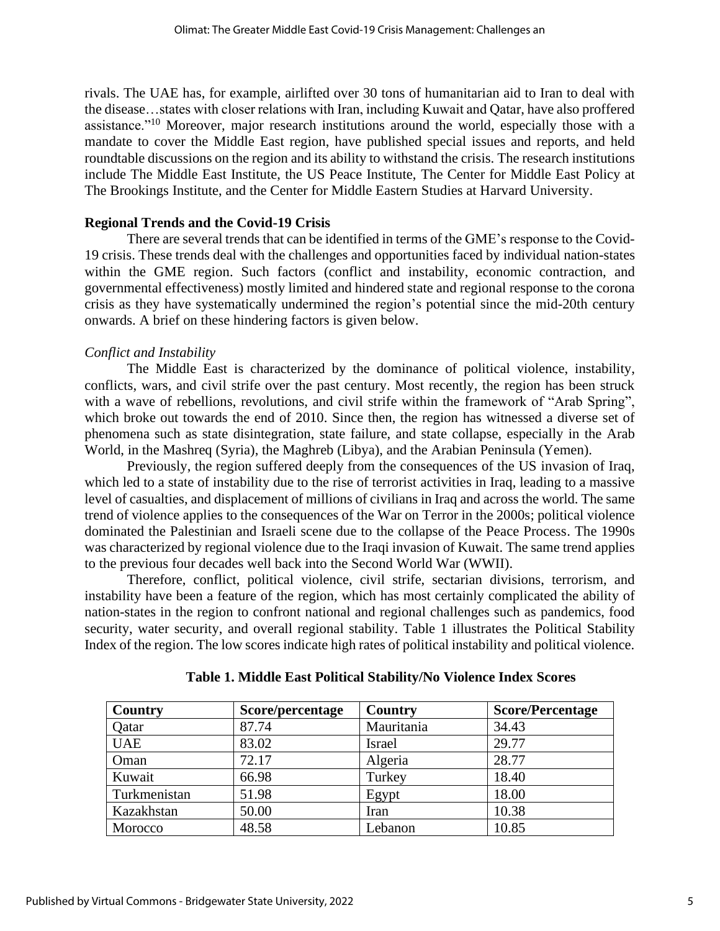rivals. The UAE has, for example, airlifted over 30 tons of humanitarian aid to Iran to deal with the disease…states with closer relations with Iran, including Kuwait and Qatar, have also proffered assistance."<sup>10</sup> Moreover, major research institutions around the world, especially those with a mandate to cover the Middle East region, have published special issues and reports, and held roundtable discussions on the region and its ability to withstand the crisis. The research institutions include The Middle East Institute, the US Peace Institute, The Center for Middle East Policy at The Brookings Institute, and the Center for Middle Eastern Studies at Harvard University.

#### **Regional Trends and the Covid-19 Crisis**

There are several trends that can be identified in terms of the GME's response to the Covid-19 crisis. These trends deal with the challenges and opportunities faced by individual nation-states within the GME region. Such factors (conflict and instability, economic contraction, and governmental effectiveness) mostly limited and hindered state and regional response to the corona crisis as they have systematically undermined the region's potential since the mid-20th century onwards. A brief on these hindering factors is given below.

#### *Conflict and Instability*

The Middle East is characterized by the dominance of political violence, instability, conflicts, wars, and civil strife over the past century. Most recently, the region has been struck with a wave of rebellions, revolutions, and civil strife within the framework of "Arab Spring", which broke out towards the end of 2010. Since then, the region has witnessed a diverse set of phenomena such as state disintegration, state failure, and state collapse, especially in the Arab World, in the Mashreq (Syria), the Maghreb (Libya), and the Arabian Peninsula (Yemen).

Previously, the region suffered deeply from the consequences of the US invasion of Iraq, which led to a state of instability due to the rise of terrorist activities in Iraq, leading to a massive level of casualties, and displacement of millions of civilians in Iraq and across the world. The same trend of violence applies to the consequences of the War on Terror in the 2000s; political violence dominated the Palestinian and Israeli scene due to the collapse of the Peace Process. The 1990s was characterized by regional violence due to the Iraqi invasion of Kuwait. The same trend applies to the previous four decades well back into the Second World War (WWII).

Therefore, conflict, political violence, civil strife, sectarian divisions, terrorism, and instability have been a feature of the region, which has most certainly complicated the ability of nation-states in the region to confront national and regional challenges such as pandemics, food security, water security, and overall regional stability. Table 1 illustrates the Political Stability Index of the region. The low scores indicate high rates of political instability and political violence.

| Country      | Score/percentage | Country       | <b>Score/Percentage</b> |
|--------------|------------------|---------------|-------------------------|
| <b>Qatar</b> | 87.74            | Mauritania    | 34.43                   |
| <b>UAE</b>   | 83.02            | <b>Israel</b> | 29.77                   |
| Oman         | 72.17            | Algeria       | 28.77                   |
| Kuwait       | 66.98            | Turkey        | 18.40                   |
| Turkmenistan | 51.98            | Egypt         | 18.00                   |
| Kazakhstan   | 50.00            | Iran          | 10.38                   |
| Morocco      | 48.58            | Lebanon       | 10.85                   |

**Table 1. Middle East Political Stability/No Violence Index Scores**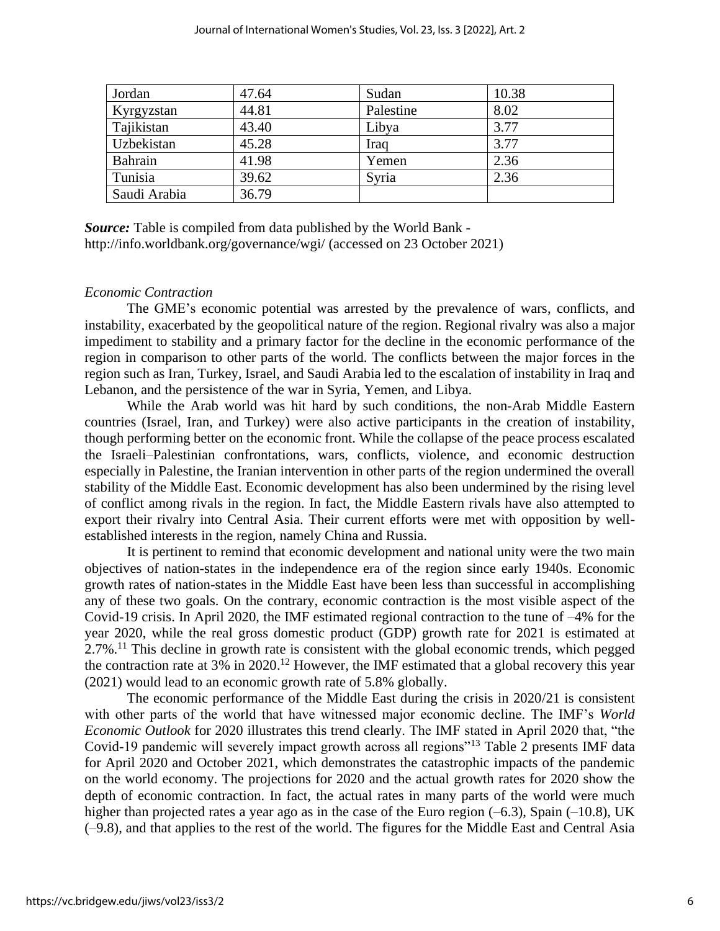| Jordan       | 47.64 | Sudan     | 10.38 |
|--------------|-------|-----------|-------|
| Kyrgyzstan   | 44.81 | Palestine | 8.02  |
| Tajikistan   | 43.40 | Libya     | 3.77  |
| Uzbekistan   | 45.28 | Iraq      | 3.77  |
| Bahrain      | 41.98 | Yemen     | 2.36  |
| Tunisia      | 39.62 | Syria     | 2.36  |
| Saudi Arabia | 36.79 |           |       |

*Source:* Table is compiled from data published by the World Bank <http://info.worldbank.org/governance/wgi/> (accessed on 23 October 2021)

#### *Economic Contraction*

The GME's economic potential was arrested by the prevalence of wars, conflicts, and instability, exacerbated by the geopolitical nature of the region. Regional rivalry was also a major impediment to stability and a primary factor for the decline in the economic performance of the region in comparison to other parts of the world. The conflicts between the major forces in the region such as Iran, Turkey, Israel, and Saudi Arabia led to the escalation of instability in Iraq and Lebanon, and the persistence of the war in Syria, Yemen, and Libya.

While the Arab world was hit hard by such conditions, the non-Arab Middle Eastern countries (Israel, Iran, and Turkey) were also active participants in the creation of instability, though performing better on the economic front. While the collapse of the peace process escalated the Israeli–Palestinian confrontations, wars, conflicts, violence, and economic destruction especially in Palestine, the Iranian intervention in other parts of the region undermined the overall stability of the Middle East. Economic development has also been undermined by the rising level of conflict among rivals in the region. In fact, the Middle Eastern rivals have also attempted to export their rivalry into Central Asia. Their current efforts were met with opposition by wellestablished interests in the region, namely China and Russia.

It is pertinent to remind that economic development and national unity were the two main objectives of nation-states in the independence era of the region since early 1940s. Economic growth rates of nation-states in the Middle East have been less than successful in accomplishing any of these two goals. On the contrary, economic contraction is the most visible aspect of the Covid-19 crisis. In April 2020, the IMF estimated regional contraction to the tune of –4% for the year 2020, while the real gross domestic product (GDP) growth rate for 2021 is estimated at 2.7%.<sup>11</sup> This decline in growth rate is consistent with the global economic trends, which pegged the contraction rate at 3% in 2020.<sup>12</sup> However, the IMF estimated that a global recovery this year (2021) would lead to an economic growth rate of 5.8% globally.

The economic performance of the Middle East during the crisis in 2020/21 is consistent with other parts of the world that have witnessed major economic decline. The IMF's *World Economic Outlook* for 2020 illustrates this trend clearly. The IMF stated in April 2020 that, "the Covid-19 pandemic will severely impact growth across all regions<sup>"13</sup> Table 2 presents IMF data for April 2020 and October 2021, which demonstrates the catastrophic impacts of the pandemic on the world economy. The projections for 2020 and the actual growth rates for 2020 show the depth of economic contraction. In fact, the actual rates in many parts of the world were much higher than projected rates a year ago as in the case of the Euro region  $(-6.3)$ , Spain  $(-10.8)$ , UK (–9.8), and that applies to the rest of the world. The figures for the Middle East and Central Asia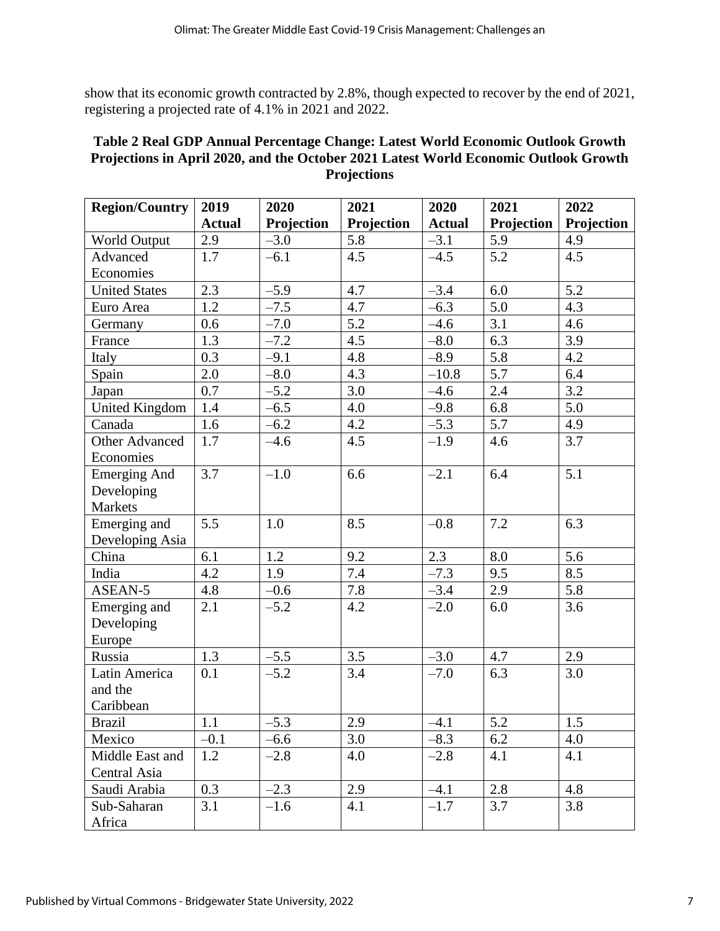show that its economic growth contracted by 2.8%, though expected to recover by the end of 2021, registering a projected rate of 4.1% in 2021 and 2022.

## **Table 2 Real GDP Annual Percentage Change: Latest World Economic Outlook Growth Projections in April 2020, and the October 2021 Latest World Economic Outlook Growth Projections**

| <b>Region/Country</b> | 2019          | 2020<br>2021 |            | 2020          | 2021       | 2022       |
|-----------------------|---------------|--------------|------------|---------------|------------|------------|
|                       | <b>Actual</b> | Projection   | Projection | <b>Actual</b> | Projection | Projection |
| World Output          | 2.9           | $-3.0$       | 5.8        | $-3.1$        | 5.9        | 4.9        |
| Advanced              | 1.7           | $-6.1$       | 4.5        | $-4.5$        | 5.2        | 4.5        |
| Economies             |               |              |            |               |            |            |
| <b>United States</b>  | 2.3           | $-5.9$       | 4.7        | $-3.4$        | 6.0        | 5.2        |
| Euro Area             | 1.2           | $-7.5$       | 4.7        | $-6.3$        | 5.0        | 4.3        |
| Germany               | 0.6           | $-7.0$       | 5.2        | $-4.6$        | 3.1        | 4.6        |
| France                | 1.3           | $-7.2$       | 4.5        | $-8.0$        | 6.3        | 3.9        |
| Italy                 | 0.3           | $-9.1$       | 4.8        | $-8.9$        | 5.8        | 4.2        |
| Spain                 | 2.0           | $-8.0$       | 4.3        | $-10.8$       | 5.7        | 6.4        |
| Japan                 | 0.7           | $-5.2$       | 3.0        | $-4.6$        | 2.4        | 3.2        |
| <b>United Kingdom</b> | 1.4           | $-6.5$       | 4.0        | $-9.8$        | 6.8        | 5.0        |
| Canada                | 1.6           | $-6.2$       | 4.2        | $-5.3$        | 5.7        | 4.9        |
| Other Advanced        | 1.7           | $-4.6$       | 4.5        | $-1.9$        | 4.6        | 3.7        |
| Economies             |               |              |            |               |            |            |
| <b>Emerging And</b>   | 3.7           | $-1.0$       | 6.6        | $-2.1$        | 6.4        | 5.1        |
| Developing            |               |              |            |               |            |            |
| Markets               |               |              |            |               |            |            |
| Emerging and          | 5.5           | 1.0          | 8.5        | $-0.8$        | 7.2        | 6.3        |
| Developing Asia       |               |              |            |               |            |            |
| China                 | 6.1           | 1.2          | 9.2        | 2.3           | 8.0        | 5.6        |
| India                 | 4.2           | 1.9          | 7.4        | $-7.3$        | 9.5        | 8.5        |
| ASEAN-5               | 4.8           | $-0.6$       | 7.8        | $-3.4$        | 2.9        | 5.8        |
| Emerging and          | 2.1           | $-5.2$       | 4.2        | $-2.0$        | 6.0        | 3.6        |
| Developing            |               |              |            |               |            |            |
| Europe                |               |              |            |               |            |            |
| Russia                | 1.3           | $-5.5$       | 3.5        | $-3.0$        | 4.7        | 2.9        |
| Latin America         | 0.1           | $-5.2$       | 3.4        | $-7.0$        | 6.3        | 3.0        |
| and the               |               |              |            |               |            |            |
| Caribbean             |               |              |            |               |            |            |
| <b>Brazil</b>         | 1.1           | $-5.3$       | 2.9        | $-4.1$        | 5.2        | 1.5        |
| Mexico                | $-0.1$        | $-6.6$       | 3.0        | $-8.3$        | 6.2        | 4.0        |
| Middle East and       | 1.2           | $-2.8$       | 4.0        | $-2.8$        | 4.1        | 4.1        |
| Central Asia          |               |              |            |               |            |            |
| Saudi Arabia          | 0.3           | $-2.3$       | 2.9        | $-4.1$        | 2.8        | 4.8        |
| Sub-Saharan           | 3.1           | $-1.6$       | 4.1        | $-1.7$        | 3.7        | 3.8        |
| Africa                |               |              |            |               |            |            |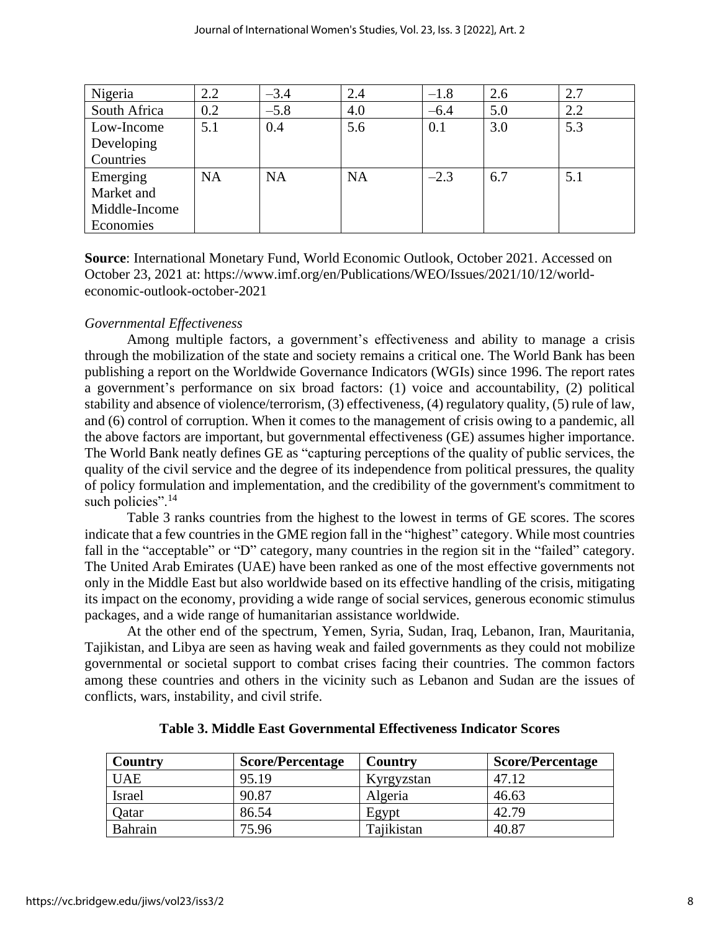| Nigeria       | 2.2       | $-3.4$    | 2.4       | $-1.8$ | 2.6 | 2.7 |
|---------------|-----------|-----------|-----------|--------|-----|-----|
| South Africa  | 0.2       | $-5.8$    | 4.0       | $-6.4$ | 5.0 | 2.2 |
| Low-Income    | 5.1       | 0.4       | 5.6       | 0.1    | 3.0 | 5.3 |
| Developing    |           |           |           |        |     |     |
| Countries     |           |           |           |        |     |     |
| Emerging      | <b>NA</b> | <b>NA</b> | <b>NA</b> | $-2.3$ | 6.7 | 5.1 |
| Market and    |           |           |           |        |     |     |
| Middle-Income |           |           |           |        |     |     |
| Economies     |           |           |           |        |     |     |

**Source**: International Monetary Fund, World Economic Outlook, October 2021. Accessed on October 23, 2021 at: https://www.imf.org/en/Publications/WEO/Issues/2021/10/12/worldeconomic-outlook-october-2021

## *Governmental Effectiveness*

Among multiple factors, a government's effectiveness and ability to manage a crisis through the mobilization of the state and society remains a critical one. The World Bank has been publishing a report on the Worldwide Governance Indicators (WGIs) since 1996. The report rates a government's performance on six broad factors: (1) voice and accountability, (2) political stability and absence of violence/terrorism, (3) effectiveness, (4) regulatory quality, (5) rule of law, and (6) control of corruption. When it comes to the management of crisis owing to a pandemic, all the above factors are important, but governmental effectiveness (GE) assumes higher importance. The World Bank neatly defines GE as "capturing perceptions of the quality of public services, the quality of the civil service and the degree of its independence from political pressures, the quality of policy formulation and implementation, and the credibility of the government's commitment to such policies".<sup>14</sup>

Table 3 ranks countries from the highest to the lowest in terms of GE scores. The scores indicate that a few countries in the GME region fall in the "highest" category. While most countries fall in the "acceptable" or "D" category, many countries in the region sit in the "failed" category. The United Arab Emirates (UAE) have been ranked as one of the most effective governments not only in the Middle East but also worldwide based on its effective handling of the crisis, mitigating its impact on the economy, providing a wide range of social services, generous economic stimulus packages, and a wide range of humanitarian assistance worldwide.

At the other end of the spectrum, Yemen, Syria, Sudan, Iraq, Lebanon, Iran, Mauritania, Tajikistan, and Libya are seen as having weak and failed governments as they could not mobilize governmental or societal support to combat crises facing their countries. The common factors among these countries and others in the vicinity such as Lebanon and Sudan are the issues of conflicts, wars, instability, and civil strife.

| Country    | <b>Score/Percentage</b> | Country    | <b>Score/Percentage</b> |
|------------|-------------------------|------------|-------------------------|
| <b>UAE</b> | 95.19                   | Kyrgyzstan | 47.12                   |
| Israel     | 90.87                   | Algeria    | 46.63                   |
| Qatar      | 86.54                   | Egypt      | 42.79                   |
| Bahrain    | 75.96                   | Tajikistan | 40.87                   |

**Table 3. Middle East Governmental Effectiveness Indicator Scores**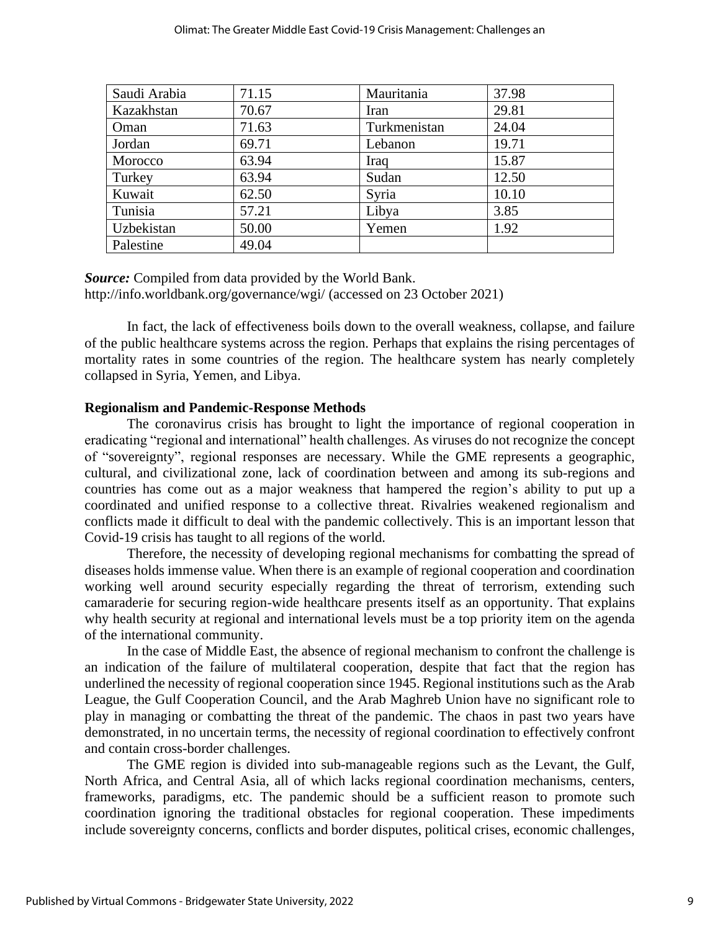| Saudi Arabia | 71.15 | Mauritania   | 37.98 |
|--------------|-------|--------------|-------|
| Kazakhstan   | 70.67 | Iran         | 29.81 |
| Oman         | 71.63 | Turkmenistan | 24.04 |
| Jordan       | 69.71 | Lebanon      | 19.71 |
| Morocco      | 63.94 | Iraq         | 15.87 |
| Turkey       | 63.94 | Sudan        | 12.50 |
| Kuwait       | 62.50 | Syria        | 10.10 |
| Tunisia      | 57.21 | Libya        | 3.85  |
| Uzbekistan   | 50.00 | Yemen        | 1.92  |
| Palestine    | 49.04 |              |       |

*Source:* Compiled from data provided by the World Bank. http://info.worldbank.org/governance/wgi/ (accessed on 23 October 2021)

In fact, the lack of effectiveness boils down to the overall weakness, collapse, and failure of the public healthcare systems across the region. Perhaps that explains the rising percentages of mortality rates in some countries of the region. The healthcare system has nearly completely collapsed in Syria, Yemen, and Libya.

#### **Regionalism and Pandemic-Response Methods**

The coronavirus crisis has brought to light the importance of regional cooperation in eradicating "regional and international" health challenges. As viruses do not recognize the concept of "sovereignty", regional responses are necessary. While the GME represents a geographic, cultural, and civilizational zone, lack of coordination between and among its sub-regions and countries has come out as a major weakness that hampered the region's ability to put up a coordinated and unified response to a collective threat. Rivalries weakened regionalism and conflicts made it difficult to deal with the pandemic collectively. This is an important lesson that Covid-19 crisis has taught to all regions of the world.

Therefore, the necessity of developing regional mechanisms for combatting the spread of diseases holds immense value. When there is an example of regional cooperation and coordination working well around security especially regarding the threat of terrorism, extending such camaraderie for securing region-wide healthcare presents itself as an opportunity. That explains why health security at regional and international levels must be a top priority item on the agenda of the international community.

In the case of Middle East, the absence of regional mechanism to confront the challenge is an indication of the failure of multilateral cooperation, despite that fact that the region has underlined the necessity of regional cooperation since 1945. Regional institutions such as the Arab League, the Gulf Cooperation Council, and the Arab Maghreb Union have no significant role to play in managing or combatting the threat of the pandemic. The chaos in past two years have demonstrated, in no uncertain terms, the necessity of regional coordination to effectively confront and contain cross-border challenges.

The GME region is divided into sub-manageable regions such as the Levant, the Gulf, North Africa, and Central Asia, all of which lacks regional coordination mechanisms, centers, frameworks, paradigms, etc. The pandemic should be a sufficient reason to promote such coordination ignoring the traditional obstacles for regional cooperation. These impediments include sovereignty concerns, conflicts and border disputes, political crises, economic challenges,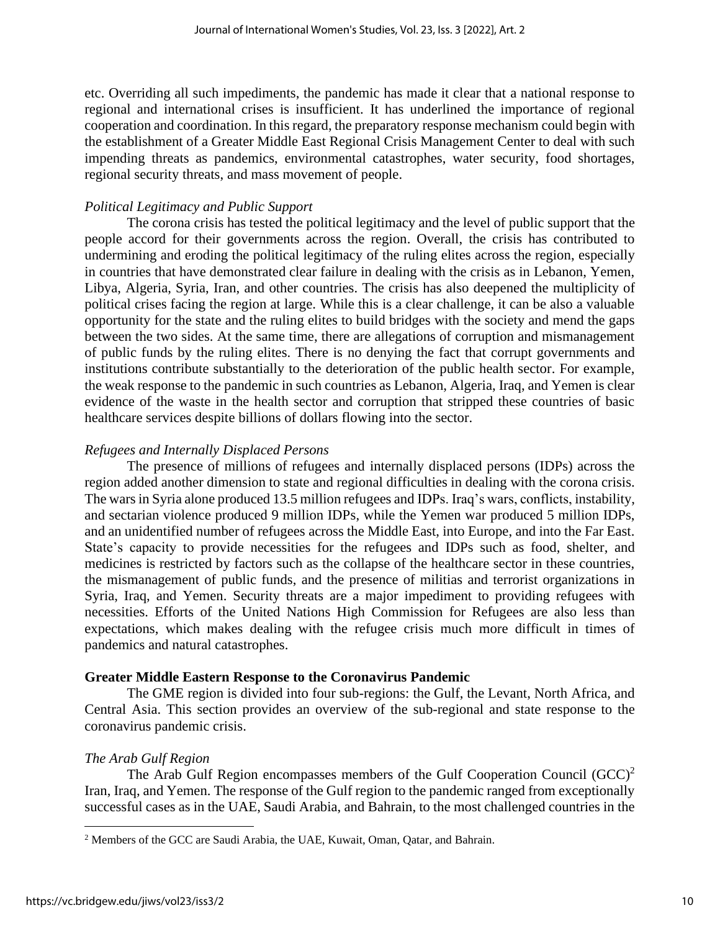etc. Overriding all such impediments, the pandemic has made it clear that a national response to regional and international crises is insufficient. It has underlined the importance of regional cooperation and coordination. In this regard, the preparatory response mechanism could begin with the establishment of a Greater Middle East Regional Crisis Management Center to deal with such impending threats as pandemics, environmental catastrophes, water security, food shortages, regional security threats, and mass movement of people.

## *Political Legitimacy and Public Support*

The corona crisis has tested the political legitimacy and the level of public support that the people accord for their governments across the region. Overall, the crisis has contributed to undermining and eroding the political legitimacy of the ruling elites across the region, especially in countries that have demonstrated clear failure in dealing with the crisis as in Lebanon, Yemen, Libya, Algeria, Syria, Iran, and other countries. The crisis has also deepened the multiplicity of political crises facing the region at large. While this is a clear challenge, it can be also a valuable opportunity for the state and the ruling elites to build bridges with the society and mend the gaps between the two sides. At the same time, there are allegations of corruption and mismanagement of public funds by the ruling elites. There is no denying the fact that corrupt governments and institutions contribute substantially to the deterioration of the public health sector. For example, the weak response to the pandemic in such countries as Lebanon, Algeria, Iraq, and Yemen is clear evidence of the waste in the health sector and corruption that stripped these countries of basic healthcare services despite billions of dollars flowing into the sector.

## *Refugees and Internally Displaced Persons*

The presence of millions of refugees and internally displaced persons (IDPs) across the region added another dimension to state and regional difficulties in dealing with the corona crisis. The wars in Syria alone produced 13.5 million refugees and IDPs. Iraq's wars, conflicts, instability, and sectarian violence produced 9 million IDPs, while the Yemen war produced 5 million IDPs, and an unidentified number of refugees across the Middle East, into Europe, and into the Far East. State's capacity to provide necessities for the refugees and IDPs such as food, shelter, and medicines is restricted by factors such as the collapse of the healthcare sector in these countries, the mismanagement of public funds, and the presence of militias and terrorist organizations in Syria, Iraq, and Yemen. Security threats are a major impediment to providing refugees with necessities. Efforts of the United Nations High Commission for Refugees are also less than expectations, which makes dealing with the refugee crisis much more difficult in times of pandemics and natural catastrophes.

## **Greater Middle Eastern Response to the Coronavirus Pandemic**

The GME region is divided into four sub-regions: the Gulf, the Levant, North Africa, and Central Asia. This section provides an overview of the sub-regional and state response to the coronavirus pandemic crisis.

## *The Arab Gulf Region*

The Arab Gulf Region encompasses members of the Gulf Cooperation Council  $(GCC)^2$ Iran, Iraq, and Yemen. The response of the Gulf region to the pandemic ranged from exceptionally successful cases as in the UAE, Saudi Arabia, and Bahrain, to the most challenged countries in the

<sup>&</sup>lt;sup>2</sup> Members of the GCC are Saudi Arabia, the UAE, Kuwait, Oman, Qatar, and Bahrain.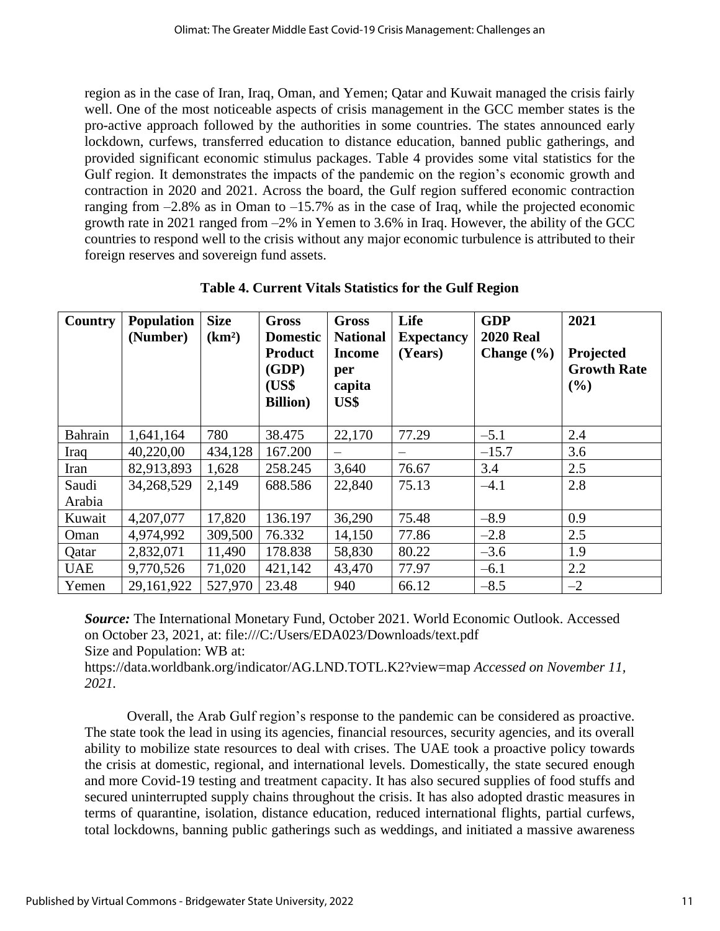region as in the case of Iran, Iraq, Oman, and Yemen; Qatar and Kuwait managed the crisis fairly well. One of the most noticeable aspects of crisis management in the GCC member states is the pro-active approach followed by the authorities in some countries. The states announced early lockdown, curfews, transferred education to distance education, banned public gatherings, and provided significant economic stimulus packages. Table 4 provides some vital statistics for the Gulf region. It demonstrates the impacts of the pandemic on the region's economic growth and contraction in 2020 and 2021. Across the board, the Gulf region suffered economic contraction ranging from  $-2.8\%$  as in Oman to  $-15.7\%$  as in the case of Iraq, while the projected economic growth rate in 2021 ranged from –2% in Yemen to 3.6% in Iraq. However, the ability of the GCC countries to respond well to the crisis without any major economic turbulence is attributed to their foreign reserves and sovereign fund assets.

| Country        | <b>Population</b><br>(Number) | <b>Size</b><br>(km <sup>2</sup> ) | <b>Gross</b><br><b>Domestic</b><br><b>Product</b><br>(GDP)<br>(US\$ | <b>Gross</b><br><b>National</b><br><b>Income</b><br>per<br>capita | Life<br><b>Expectancy</b><br>(Years) | <b>GDP</b><br><b>2020 Real</b><br>Change $(\% )$ | 2021<br>Projected<br><b>Growth Rate</b><br>$($ %) |
|----------------|-------------------------------|-----------------------------------|---------------------------------------------------------------------|-------------------------------------------------------------------|--------------------------------------|--------------------------------------------------|---------------------------------------------------|
|                |                               |                                   | <b>Billion</b> )                                                    | US\$                                                              |                                      |                                                  |                                                   |
| <b>Bahrain</b> | 1,641,164                     | 780                               | 38.475                                                              | 22,170                                                            | 77.29                                | $-5.1$                                           | 2.4                                               |
| Iraq           | 40,220,00                     | 434,128                           | 167.200                                                             |                                                                   | $\equiv$                             | $-15.7$                                          | 3.6                                               |
| Iran           | 82,913,893                    | 1,628                             | 258.245                                                             | 3,640                                                             | 76.67                                | 3.4                                              | 2.5                                               |
| Saudi          | 34,268,529                    | 2,149                             | 688.586                                                             | 22,840                                                            | 75.13                                | $-4.1$                                           | 2.8                                               |
| Arabia         |                               |                                   |                                                                     |                                                                   |                                      |                                                  |                                                   |
| Kuwait         | 4,207,077                     | 17,820                            | 136.197                                                             | 36,290                                                            | 75.48                                | $-8.9$                                           | 0.9                                               |
| Oman           | 4,974,992                     | 309,500                           | 76.332                                                              | 14,150                                                            | 77.86                                | $-2.8$                                           | 2.5                                               |
| Qatar          | 2,832,071                     | 11,490                            | 178.838                                                             | 58,830                                                            | 80.22                                | $-3.6$                                           | 1.9                                               |
| <b>UAE</b>     | 9,770,526                     | 71,020                            | 421,142                                                             | 43,470                                                            | 77.97                                | $-6.1$                                           | 2.2                                               |
| Yemen          | 29,161,922                    | 527,970                           | 23.48                                                               | 940                                                               | 66.12                                | $-8.5$                                           | $-2$                                              |

**Table 4. Current Vitals Statistics for the Gulf Region**

*Source:* The International Monetary Fund, October 2021. World Economic Outlook. Accessed on October 23, 2021, at: file:///C:/Users/EDA023/Downloads/text.pdf

Size and Population: WB at:

<https://data.worldbank.org/indicator/AG.LND.TOTL.K2?view=map> *Accessed on November 11, 2021.* 

Overall, the Arab Gulf region's response to the pandemic can be considered as proactive. The state took the lead in using its agencies, financial resources, security agencies, and its overall ability to mobilize state resources to deal with crises. The UAE took a proactive policy towards the crisis at domestic, regional, and international levels. Domestically, the state secured enough and more Covid-19 testing and treatment capacity. It has also secured supplies of food stuffs and secured uninterrupted supply chains throughout the crisis. It has also adopted drastic measures in terms of quarantine, isolation, distance education, reduced international flights, partial curfews, total lockdowns, banning public gatherings such as weddings, and initiated a massive awareness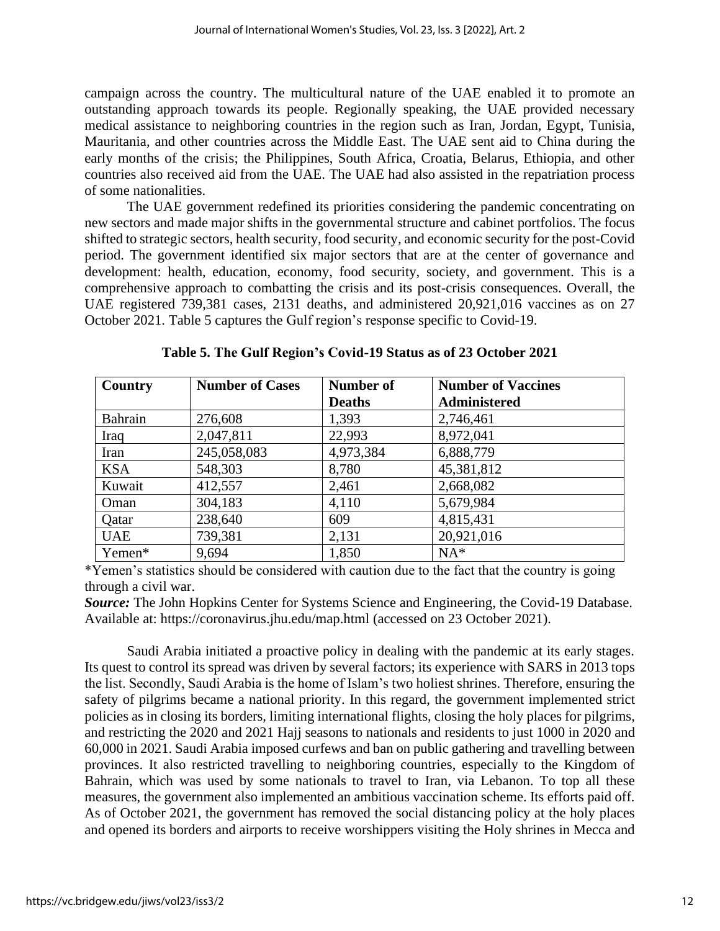campaign across the country. The multicultural nature of the UAE enabled it to promote an outstanding approach towards its people. Regionally speaking, the UAE provided necessary medical assistance to neighboring countries in the region such as Iran, Jordan, Egypt, Tunisia, Mauritania, and other countries across the Middle East. The UAE sent aid to China during the early months of the crisis; the Philippines, South Africa, Croatia, Belarus, Ethiopia, and other countries also received aid from the UAE. The UAE had also assisted in the repatriation process of some nationalities.

The UAE government redefined its priorities considering the pandemic concentrating on new sectors and made major shifts in the governmental structure and cabinet portfolios. The focus shifted to strategic sectors, health security, food security, and economic security for the post-Covid period. The government identified six major sectors that are at the center of governance and development: health, education, economy, food security, society, and government. This is a comprehensive approach to combatting the crisis and its post-crisis consequences. Overall, the UAE registered 739,381 cases, 2131 deaths, and administered 20,921,016 vaccines as on 27 October 2021. Table 5 captures the Gulf region's response specific to Covid-19.

| Country    | <b>Number of Cases</b> | <b>Number of</b> | <b>Number of Vaccines</b> |
|------------|------------------------|------------------|---------------------------|
|            |                        | <b>Deaths</b>    | <b>Administered</b>       |
| Bahrain    | 276,608                | 1,393            | 2,746,461                 |
| Iraq       | 2,047,811              | 22,993           | 8,972,041                 |
| Iran       | 245,058,083            | 4,973,384        | 6,888,779                 |
| <b>KSA</b> | 548,303                | 8,780            | 45,381,812                |
| Kuwait     | 412,557                | 2,461            | 2,668,082                 |
| Oman       | 304,183                | 4,110            | 5,679,984                 |
| Qatar      | 238,640                | 609              | 4,815,431                 |
| <b>UAE</b> | 739,381                | 2,131            | 20,921,016                |
| Yemen*     | 9,694                  | 1,850            | $NA^*$                    |

**Table 5. The Gulf Region's Covid-19 Status as of 23 October 2021**

\*Yemen's statistics should be considered with caution due to the fact that the country is going through a civil war.

*Source:* The John Hopkins Center for Systems Science and Engineering, the Covid-19 Database. Available at:<https://coronavirus.jhu.edu/map.html> (accessed on 23 October 2021).

Saudi Arabia initiated a proactive policy in dealing with the pandemic at its early stages. Its quest to control its spread was driven by several factors; its experience with SARS in 2013 tops the list. Secondly, Saudi Arabia is the home of Islam's two holiest shrines. Therefore, ensuring the safety of pilgrims became a national priority. In this regard, the government implemented strict policies as in closing its borders, limiting international flights, closing the holy places for pilgrims, and restricting the 2020 and 2021 Hajj seasons to nationals and residents to just 1000 in 2020 and 60,000 in 2021. Saudi Arabia imposed curfews and ban on public gathering and travelling between provinces. It also restricted travelling to neighboring countries, especially to the Kingdom of Bahrain, which was used by some nationals to travel to Iran, via Lebanon. To top all these measures, the government also implemented an ambitious vaccination scheme. Its efforts paid off. As of October 2021, the government has removed the social distancing policy at the holy places and opened its borders and airports to receive worshippers visiting the Holy shrines in Mecca and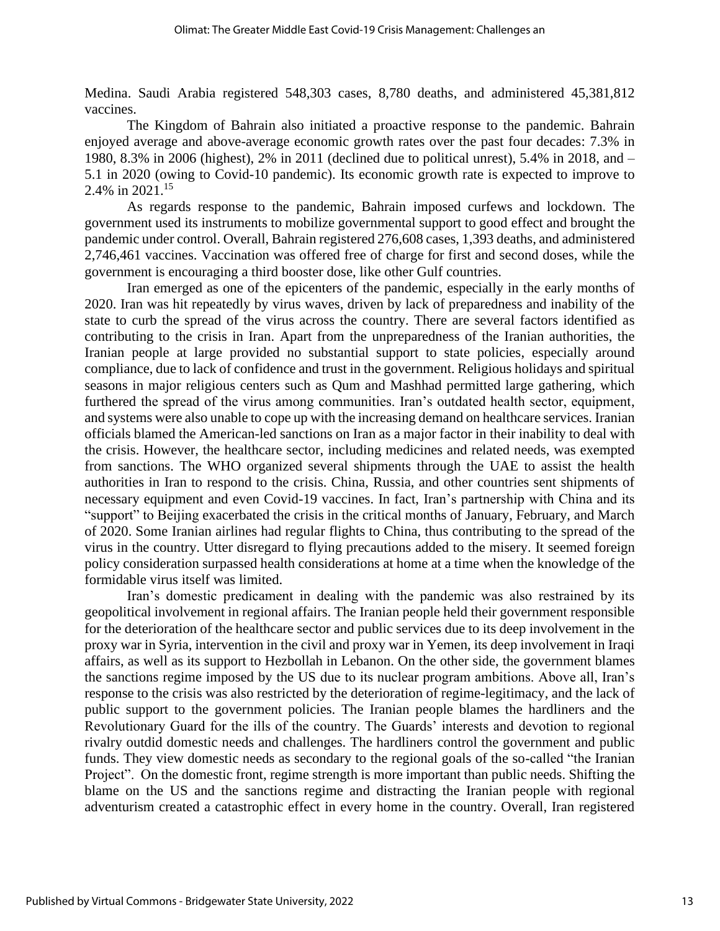Medina. Saudi Arabia registered 548,303 cases, 8,780 deaths, and administered 45,381,812 vaccines.

The Kingdom of Bahrain also initiated a proactive response to the pandemic. Bahrain enjoyed average and above-average economic growth rates over the past four decades: 7.3% in 1980, 8.3% in 2006 (highest), 2% in 2011 (declined due to political unrest), 5.4% in 2018, and – 5.1 in 2020 (owing to Covid-10 pandemic). Its economic growth rate is expected to improve to 2.4% in  $2021^{15}$ 

As regards response to the pandemic, Bahrain imposed curfews and lockdown. The government used its instruments to mobilize governmental support to good effect and brought the pandemic under control. Overall, Bahrain registered 276,608 cases, 1,393 deaths, and administered 2,746,461 vaccines. Vaccination was offered free of charge for first and second doses, while the government is encouraging a third booster dose, like other Gulf countries.

Iran emerged as one of the epicenters of the pandemic, especially in the early months of 2020. Iran was hit repeatedly by virus waves, driven by lack of preparedness and inability of the state to curb the spread of the virus across the country. There are several factors identified as contributing to the crisis in Iran. Apart from the unpreparedness of the Iranian authorities, the Iranian people at large provided no substantial support to state policies, especially around compliance, due to lack of confidence and trust in the government. Religious holidays and spiritual seasons in major religious centers such as Qum and Mashhad permitted large gathering, which furthered the spread of the virus among communities. Iran's outdated health sector, equipment, and systems were also unable to cope up with the increasing demand on healthcare services. Iranian officials blamed the American-led sanctions on Iran as a major factor in their inability to deal with the crisis. However, the healthcare sector, including medicines and related needs, was exempted from sanctions. The WHO organized several shipments through the UAE to assist the health authorities in Iran to respond to the crisis. China, Russia, and other countries sent shipments of necessary equipment and even Covid-19 vaccines. In fact, Iran's partnership with China and its "support" to Beijing exacerbated the crisis in the critical months of January, February, and March of 2020. Some Iranian airlines had regular flights to China, thus contributing to the spread of the virus in the country. Utter disregard to flying precautions added to the misery. It seemed foreign policy consideration surpassed health considerations at home at a time when the knowledge of the formidable virus itself was limited.

Iran's domestic predicament in dealing with the pandemic was also restrained by its geopolitical involvement in regional affairs. The Iranian people held their government responsible for the deterioration of the healthcare sector and public services due to its deep involvement in the proxy war in Syria, intervention in the civil and proxy war in Yemen, its deep involvement in Iraqi affairs, as well as its support to Hezbollah in Lebanon. On the other side, the government blames the sanctions regime imposed by the US due to its nuclear program ambitions. Above all, Iran's response to the crisis was also restricted by the deterioration of regime-legitimacy, and the lack of public support to the government policies. The Iranian people blames the hardliners and the Revolutionary Guard for the ills of the country. The Guards' interests and devotion to regional rivalry outdid domestic needs and challenges. The hardliners control the government and public funds. They view domestic needs as secondary to the regional goals of the so-called "the Iranian Project". On the domestic front, regime strength is more important than public needs. Shifting the blame on the US and the sanctions regime and distracting the Iranian people with regional adventurism created a catastrophic effect in every home in the country. Overall, Iran registered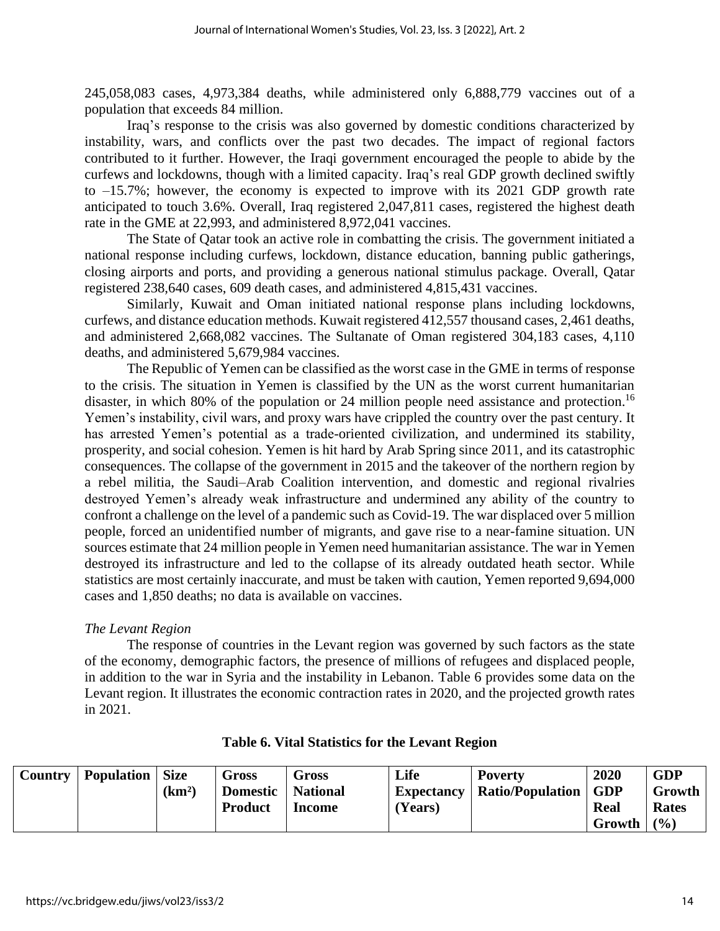245,058,083 cases, 4,973,384 deaths, while administered only 6,888,779 vaccines out of a population that exceeds 84 million.

Iraq's response to the crisis was also governed by domestic conditions characterized by instability, wars, and conflicts over the past two decades. The impact of regional factors contributed to it further. However, the Iraqi government encouraged the people to abide by the curfews and lockdowns, though with a limited capacity. Iraq's real GDP growth declined swiftly to –15.7%; however, the economy is expected to improve with its 2021 GDP growth rate anticipated to touch 3.6%. Overall, Iraq registered 2,047,811 cases, registered the highest death rate in the GME at 22,993, and administered 8,972,041 vaccines.

The State of Qatar took an active role in combatting the crisis. The government initiated a national response including curfews, lockdown, distance education, banning public gatherings, closing airports and ports, and providing a generous national stimulus package. Overall, Qatar registered 238,640 cases, 609 death cases, and administered 4,815,431 vaccines.

Similarly, Kuwait and Oman initiated national response plans including lockdowns, curfews, and distance education methods. Kuwait registered 412,557 thousand cases, 2,461 deaths, and administered 2,668,082 vaccines. The Sultanate of Oman registered 304,183 cases, 4,110 deaths, and administered 5,679,984 vaccines.

The Republic of Yemen can be classified as the worst case in the GME in terms of response to the crisis. The situation in Yemen is classified by the UN as the worst current humanitarian disaster, in which 80% of the population or 24 million people need assistance and protection.<sup>16</sup> Yemen's instability, civil wars, and proxy wars have crippled the country over the past century. It has arrested Yemen's potential as a trade-oriented civilization, and undermined its stability, prosperity, and social cohesion. Yemen is hit hard by Arab Spring since 2011, and its catastrophic consequences. The collapse of the government in 2015 and the takeover of the northern region by a rebel militia, the Saudi–Arab Coalition intervention, and domestic and regional rivalries destroyed Yemen's already weak infrastructure and undermined any ability of the country to confront a challenge on the level of a pandemic such as Covid-19. The war displaced over 5 million people, forced an unidentified number of migrants, and gave rise to a near-famine situation. UN sources estimate that 24 million people in Yemen need humanitarian assistance. The war in Yemen destroyed its infrastructure and led to the collapse of its already outdated heath sector. While statistics are most certainly inaccurate, and must be taken with caution, Yemen reported 9,694,000 cases and 1,850 deaths; no data is available on vaccines.

## *The Levant Region*

The response of countries in the Levant region was governed by such factors as the state of the economy, demographic factors, the presence of millions of refugees and displaced people, in addition to the war in Syria and the instability in Lebanon. Table 6 provides some data on the Levant region. It illustrates the economic contraction rates in 2020, and the projected growth rates in 2021.

| <b>Country   Population   Size</b> |                    | Gross               | <b>Gross</b> | Life    | <b>Poverty</b>                      | 2020   | <b>GDP</b>  |
|------------------------------------|--------------------|---------------------|--------------|---------|-------------------------------------|--------|-------------|
|                                    | (km <sup>2</sup> ) | Domestic   National |              |         | Expectancy   Ratio/Population   GDP |        | Growth      |
|                                    |                    | <b>Product</b>      | Income       | (Years) |                                     | Real   | Rates       |
|                                    |                    |                     |              |         |                                     | Growth | $\vert$ (%) |

## **Table 6. Vital Statistics for the Levant Region**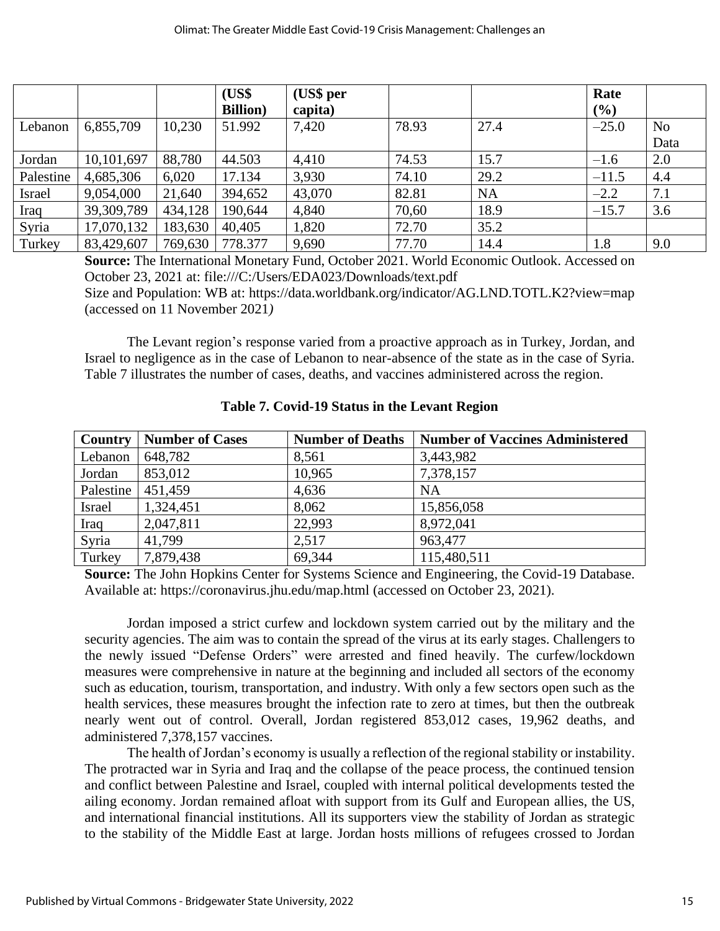|               |            |         | (US\$            | (US\$ per |       |           | Rate    |                |
|---------------|------------|---------|------------------|-----------|-------|-----------|---------|----------------|
|               |            |         | <b>Billion</b> ) | capita)   |       |           | (%)     |                |
| Lebanon       | 6,855,709  | 10,230  | 51.992           | 7,420     | 78.93 | 27.4      | $-25.0$ | N <sub>0</sub> |
|               |            |         |                  |           |       |           |         | Data           |
| Jordan        | 10,101,697 | 88,780  | 44.503           | 4,410     | 74.53 | 15.7      | $-1.6$  | 2.0            |
| Palestine     | 4,685,306  | 6,020   | 17.134           | 3,930     | 74.10 | 29.2      | $-11.5$ | 4.4            |
| <b>Israel</b> | 9,054,000  | 21,640  | 394,652          | 43,070    | 82.81 | <b>NA</b> | $-2.2$  | 7.1            |
| Iraq          | 39,309,789 | 434,128 | 190,644          | 4,840     | 70,60 | 18.9      | $-15.7$ | 3.6            |
| Syria         | 17,070,132 | 183,630 | 40,405           | 1,820     | 72.70 | 35.2      |         |                |
| Turkey        | 83,429,607 | 769,630 | 778.377          | 9,690     | 77.70 | 14.4      | 1.8     | 9.0            |

**Source:** The International Monetary Fund, October 2021. World Economic Outlook. Accessed on October 23, 2021 at: file:///C:/Users/EDA023/Downloads/text.pdf

Size and Population: WB at:<https://data.worldbank.org/indicator/AG.LND.TOTL.K2?view=map> (accessed on 11 November 2021*)* 

The Levant region's response varied from a proactive approach as in Turkey, Jordan, and Israel to negligence as in the case of Lebanon to near-absence of the state as in the case of Syria. Table 7 illustrates the number of cases, deaths, and vaccines administered across the region.

| Country       | <b>Number of Cases</b> | <b>Number of Deaths</b> | <b>Number of Vaccines Administered</b> |
|---------------|------------------------|-------------------------|----------------------------------------|
| Lebanon       | 648,782                | 8,561                   | 3,443,982                              |
| Jordan        | 853,012                | 10,965                  | 7,378,157                              |
| Palestine     | 451,459                | 4,636                   | <b>NA</b>                              |
| <b>Israel</b> | 1,324,451              | 8,062                   | 15,856,058                             |
| Iraq          | 2,047,811              | 22,993                  | 8,972,041                              |
| Syria         | 41,799                 | 2,517                   | 963,477                                |
| Turkey        | 7,879,438              | 69,344                  | 115,480,511                            |

**Table 7. Covid-19 Status in the Levant Region**

**Source:** The John Hopkins Center for Systems Science and Engineering, the Covid-19 Database. Available at:<https://coronavirus.jhu.edu/map.html> (accessed on October 23, 2021).

Jordan imposed a strict curfew and lockdown system carried out by the military and the security agencies. The aim was to contain the spread of the virus at its early stages. Challengers to the newly issued "Defense Orders" were arrested and fined heavily. The curfew/lockdown measures were comprehensive in nature at the beginning and included all sectors of the economy such as education, tourism, transportation, and industry. With only a few sectors open such as the health services, these measures brought the infection rate to zero at times, but then the outbreak nearly went out of control. Overall, Jordan registered 853,012 cases, 19,962 deaths, and administered 7,378,157 vaccines.

The health of Jordan's economy is usually a reflection of the regional stability or instability. The protracted war in Syria and Iraq and the collapse of the peace process, the continued tension and conflict between Palestine and Israel, coupled with internal political developments tested the ailing economy. Jordan remained afloat with support from its Gulf and European allies, the US, and international financial institutions. All its supporters view the stability of Jordan as strategic to the stability of the Middle East at large. Jordan hosts millions of refugees crossed to Jordan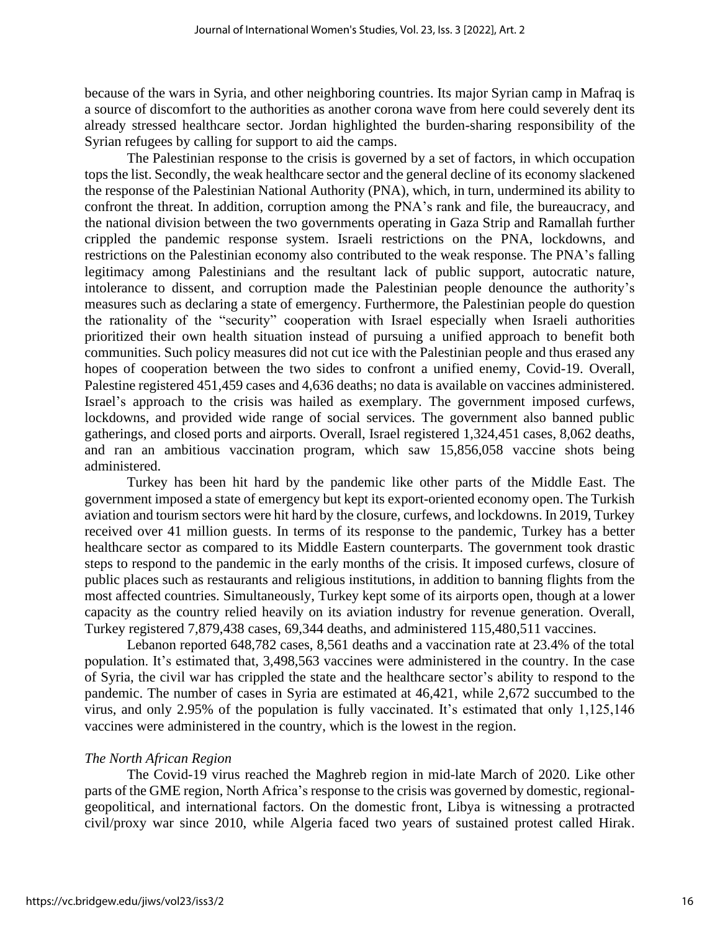because of the wars in Syria, and other neighboring countries. Its major Syrian camp in Mafraq is a source of discomfort to the authorities as another corona wave from here could severely dent its already stressed healthcare sector. Jordan highlighted the burden-sharing responsibility of the Syrian refugees by calling for support to aid the camps.

The Palestinian response to the crisis is governed by a set of factors, in which occupation tops the list. Secondly, the weak healthcare sector and the general decline of its economy slackened the response of the Palestinian National Authority (PNA), which, in turn, undermined its ability to confront the threat. In addition, corruption among the PNA's rank and file, the bureaucracy, and the national division between the two governments operating in Gaza Strip and Ramallah further crippled the pandemic response system. Israeli restrictions on the PNA, lockdowns, and restrictions on the Palestinian economy also contributed to the weak response. The PNA's falling legitimacy among Palestinians and the resultant lack of public support, autocratic nature, intolerance to dissent, and corruption made the Palestinian people denounce the authority's measures such as declaring a state of emergency. Furthermore, the Palestinian people do question the rationality of the "security" cooperation with Israel especially when Israeli authorities prioritized their own health situation instead of pursuing a unified approach to benefit both communities. Such policy measures did not cut ice with the Palestinian people and thus erased any hopes of cooperation between the two sides to confront a unified enemy, Covid-19. Overall, Palestine registered 451,459 cases and 4,636 deaths; no data is available on vaccines administered. Israel's approach to the crisis was hailed as exemplary. The government imposed curfews, lockdowns, and provided wide range of social services. The government also banned public gatherings, and closed ports and airports. Overall, Israel registered 1,324,451 cases, 8,062 deaths, and ran an ambitious vaccination program, which saw 15,856,058 vaccine shots being administered.

Turkey has been hit hard by the pandemic like other parts of the Middle East. The government imposed a state of emergency but kept its export-oriented economy open. The Turkish aviation and tourism sectors were hit hard by the closure, curfews, and lockdowns. In 2019, Turkey received over 41 million guests. In terms of its response to the pandemic, Turkey has a better healthcare sector as compared to its Middle Eastern counterparts. The government took drastic steps to respond to the pandemic in the early months of the crisis. It imposed curfews, closure of public places such as restaurants and religious institutions, in addition to banning flights from the most affected countries. Simultaneously, Turkey kept some of its airports open, though at a lower capacity as the country relied heavily on its aviation industry for revenue generation. Overall, Turkey registered 7,879,438 cases, 69,344 deaths, and administered 115,480,511 vaccines.

Lebanon reported 648,782 cases, 8,561 deaths and a vaccination rate at 23.4% of the total population. It's estimated that, 3,498,563 vaccines were administered in the country. In the case of Syria, the civil war has crippled the state and the healthcare sector's ability to respond to the pandemic. The number of cases in Syria are estimated at 46,421, while 2,672 succumbed to the virus, and only 2.95% of the population is fully vaccinated. It's estimated that only 1,125,146 vaccines were administered in the country, which is the lowest in the region.

#### *The North African Region*

The Covid-19 virus reached the Maghreb region in mid-late March of 2020. Like other parts of the GME region, North Africa's response to the crisis was governed by domestic, regionalgeopolitical, and international factors. On the domestic front, Libya is witnessing a protracted civil/proxy war since 2010, while Algeria faced two years of sustained protest called Hirak.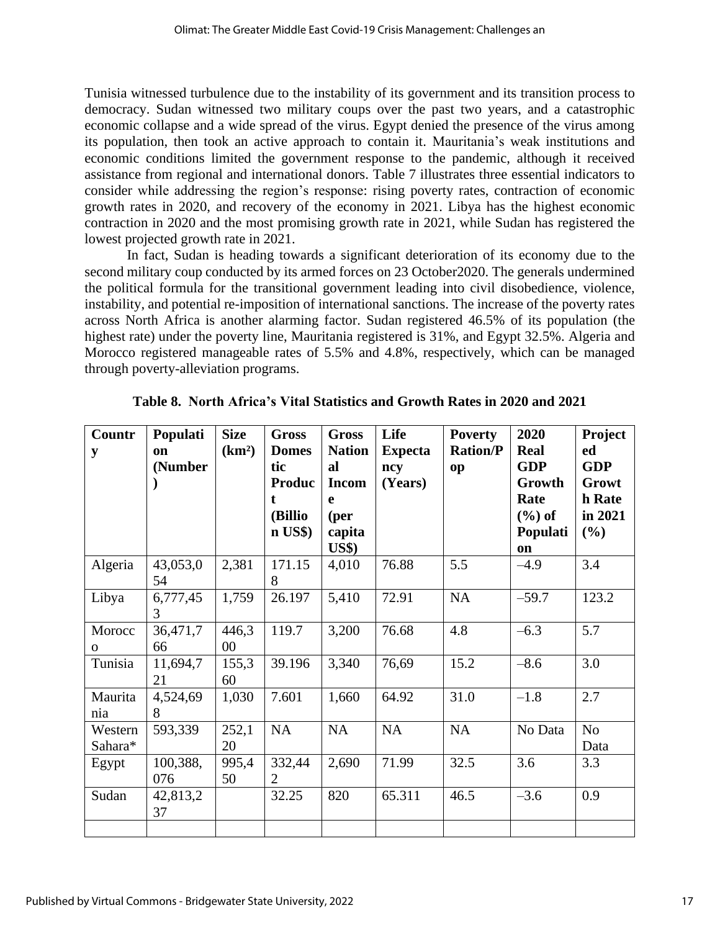Tunisia witnessed turbulence due to the instability of its government and its transition process to democracy. Sudan witnessed two military coups over the past two years, and a catastrophic economic collapse and a wide spread of the virus. Egypt denied the presence of the virus among its population, then took an active approach to contain it. Mauritania's weak institutions and economic conditions limited the government response to the pandemic, although it received assistance from regional and international donors. Table 7 illustrates three essential indicators to consider while addressing the region's response: rising poverty rates, contraction of economic growth rates in 2020, and recovery of the economy in 2021. Libya has the highest economic contraction in 2020 and the most promising growth rate in 2021, while Sudan has registered the lowest projected growth rate in 2021.

In fact, Sudan is heading towards a significant deterioration of its economy due to the second military coup conducted by its armed forces on 23 October2020. The generals undermined the political formula for the transitional government leading into civil disobedience, violence, instability, and potential re-imposition of international sanctions. The increase of the poverty rates across North Africa is another alarming factor. Sudan registered 46.5% of its population (the highest rate) under the poverty line, Mauritania registered is 31%, and Egypt 32.5%. Algeria and Morocco registered manageable rates of 5.5% and 4.8%, respectively, which can be managed through poverty-alleviation programs.

| Countr<br>y            | Populati<br><sub>on</sub><br>(Number | <b>Size</b><br>(km <sup>2</sup> ) | <b>Gross</b><br><b>Domes</b><br>tic<br><b>Produc</b><br>t<br>(Billio<br>$\mathbf{n}$ US\$) | <b>Gross</b><br><b>Nation</b><br>al<br><b>Incom</b><br>e<br>(per<br>capita<br><b>US\$</b> ) | Life<br><b>Expecta</b><br>ncy<br>(Years) | <b>Poverty</b><br><b>Ration/P</b><br>op | 2020<br>Real<br><b>GDP</b><br>Growth<br>Rate<br>$(\%)$ of<br>Populati<br>on | Project<br>ed<br><b>GDP</b><br>Growt<br>h Rate<br>in 2021<br>(%) |
|------------------------|--------------------------------------|-----------------------------------|--------------------------------------------------------------------------------------------|---------------------------------------------------------------------------------------------|------------------------------------------|-----------------------------------------|-----------------------------------------------------------------------------|------------------------------------------------------------------|
| Algeria                | 43,053,0<br>54                       | 2,381                             | 171.15<br>8                                                                                | 4,010                                                                                       | 76.88                                    | 5.5                                     | $-4.9$                                                                      | 3.4                                                              |
| Libya                  | 6,777,45<br>3                        | 1,759                             | 26.197                                                                                     | 5,410                                                                                       | 72.91                                    | NA                                      | $-59.7$                                                                     | 123.2                                                            |
| Morocc<br>$\mathbf{O}$ | 36,471,7<br>66                       | 446,3<br>$00\,$                   | 119.7                                                                                      | 3,200                                                                                       | 76.68                                    | 4.8                                     | $-6.3$                                                                      | 5.7                                                              |
| Tunisia                | 11,694,7<br>21                       | 155,3<br>60                       | 39.196                                                                                     | 3,340                                                                                       | 76,69                                    | 15.2                                    | $-8.6$                                                                      | 3.0                                                              |
| Maurita<br>nia         | 4,524,69<br>8                        | 1,030                             | 7.601                                                                                      | 1,660                                                                                       | 64.92                                    | 31.0                                    | $-1.8$                                                                      | 2.7                                                              |
| Western<br>Sahara*     | 593,339                              | 252,1<br>20                       | NA                                                                                         | NA                                                                                          | NA                                       | NA                                      | No Data                                                                     | N <sub>o</sub><br>Data                                           |
| Egypt                  | 100,388,<br>076                      | 995,4<br>50                       | 332,44<br>2                                                                                | 2,690                                                                                       | 71.99                                    | 32.5                                    | 3.6                                                                         | 3.3                                                              |
| Sudan                  | 42,813,2<br>37                       |                                   | 32.25                                                                                      | 820                                                                                         | 65.311                                   | 46.5                                    | $-3.6$                                                                      | 0.9                                                              |
|                        |                                      |                                   |                                                                                            |                                                                                             |                                          |                                         |                                                                             |                                                                  |

**Table 8. North Africa's Vital Statistics and Growth Rates in 2020 and 2021**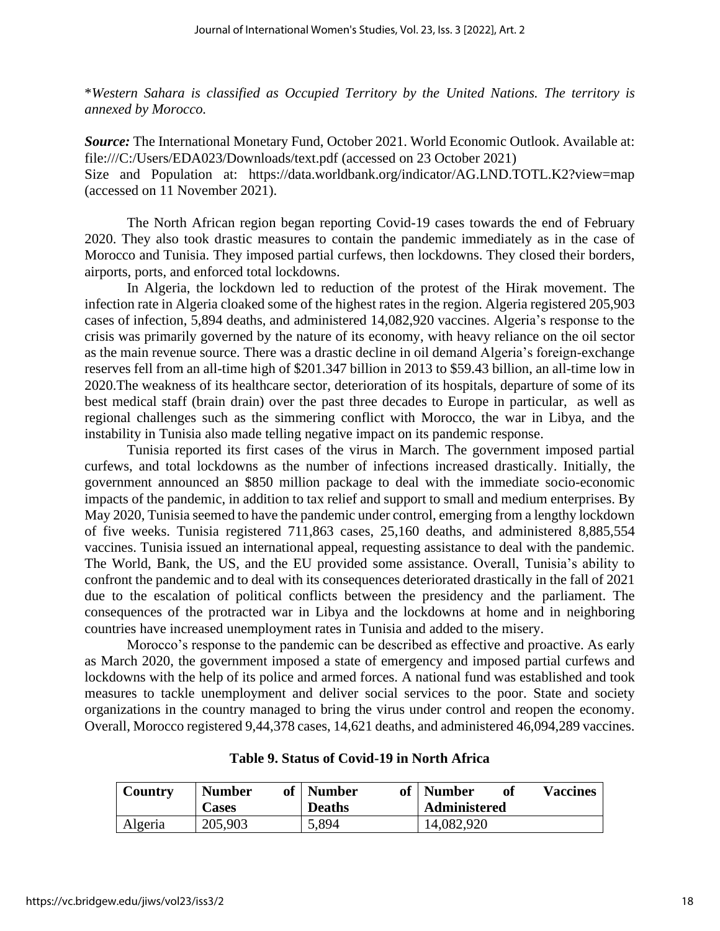\**Western Sahara is classified as Occupied Territory by the United Nations. The territory is annexed by Morocco.*

*Source:* The International Monetary Fund, October 2021. World Economic Outlook. Available at: <file:///C:/Users/EDA023/Downloads/text.pdf> (accessed on 23 October 2021) Size and Population at: <https://data.worldbank.org/indicator/AG.LND.TOTL.K2?view=map> (accessed on 11 November 2021).

The North African region began reporting Covid-19 cases towards the end of February 2020. They also took drastic measures to contain the pandemic immediately as in the case of Morocco and Tunisia. They imposed partial curfews, then lockdowns. They closed their borders, airports, ports, and enforced total lockdowns.

In Algeria, the lockdown led to reduction of the protest of the Hirak movement. The infection rate in Algeria cloaked some of the highest rates in the region. Algeria registered 205,903 cases of infection, 5,894 deaths, and administered 14,082,920 vaccines. Algeria's response to the crisis was primarily governed by the nature of its economy, with heavy reliance on the oil sector as the main revenue source. There was a drastic decline in oil demand Algeria's foreign-exchange reserves fell from an all-time high of \$201.347 billion in 2013 to \$59.43 billion, an all-time low in 2020.The weakness of its healthcare sector, deterioration of its hospitals, departure of some of its best medical staff (brain drain) over the past three decades to Europe in particular, as well as regional challenges such as the simmering conflict with Morocco, the war in Libya, and the instability in Tunisia also made telling negative impact on its pandemic response.

Tunisia reported its first cases of the virus in March. The government imposed partial curfews, and total lockdowns as the number of infections increased drastically. Initially, the government announced an \$850 million package to deal with the immediate socio-economic impacts of the pandemic, in addition to tax relief and support to small and medium enterprises. By May 2020, Tunisia seemed to have the pandemic under control, emerging from a lengthy lockdown of five weeks. Tunisia registered 711,863 cases, 25,160 deaths, and administered 8,885,554 vaccines. Tunisia issued an international appeal, requesting assistance to deal with the pandemic. The World, Bank, the US, and the EU provided some assistance. Overall, Tunisia's ability to confront the pandemic and to deal with its consequences deteriorated drastically in the fall of 2021 due to the escalation of political conflicts between the presidency and the parliament. The consequences of the protracted war in Libya and the lockdowns at home and in neighboring countries have increased unemployment rates in Tunisia and added to the misery.

Morocco's response to the pandemic can be described as effective and proactive. As early as March 2020, the government imposed a state of emergency and imposed partial curfews and lockdowns with the help of its police and armed forces. A national fund was established and took measures to tackle unemployment and deliver social services to the poor. State and society organizations in the country managed to bring the virus under control and reopen the economy. Overall, Morocco registered 9,44,378 cases, 14,621 deaths, and administered 46,094,289 vaccines.

| <b>Country</b> | <b>of</b><br><b>Number</b><br>Cases | of<br><b>Number</b><br>Deaths | <b>Number</b><br><b>Administered</b> | Vaccines |
|----------------|-------------------------------------|-------------------------------|--------------------------------------|----------|
| Algeria        | 205,903                             | 5,894                         | 14,082,920                           |          |

## **Table 9. Status of Covid-19 in North Africa**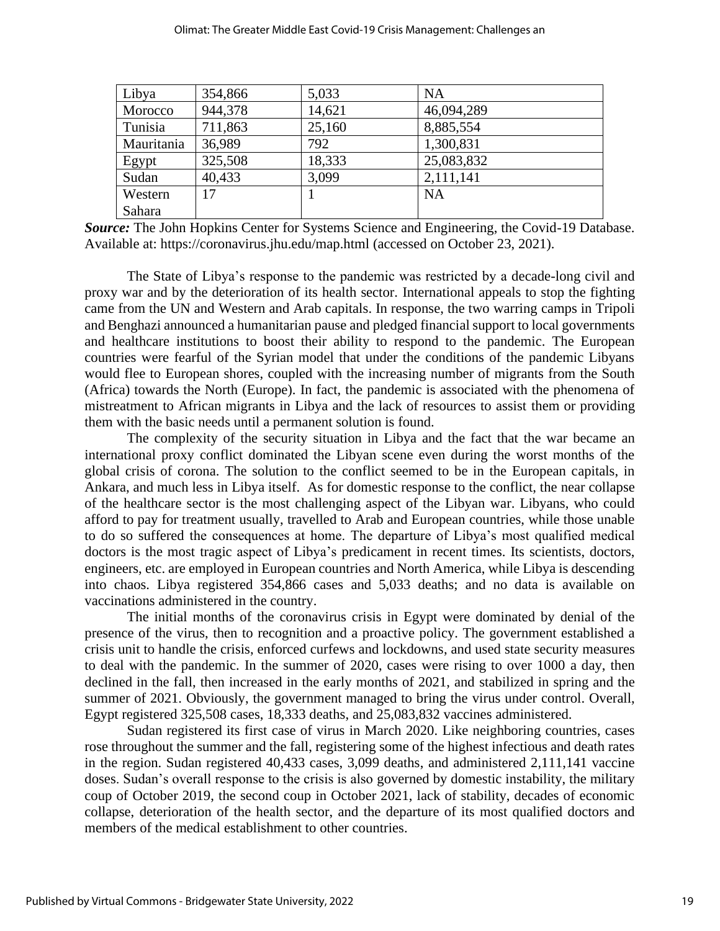| Libya      | 354,866 | 5,033  | <b>NA</b>  |
|------------|---------|--------|------------|
| Morocco    | 944,378 | 14,621 | 46,094,289 |
| Tunisia    | 711,863 | 25,160 | 8,885,554  |
| Mauritania | 36,989  | 792    | 1,300,831  |
| Egypt      | 325,508 | 18,333 | 25,083,832 |
| Sudan      | 40,433  | 3,099  | 2,111,141  |
| Western    | 17      |        | <b>NA</b>  |
| Sahara     |         |        |            |

| Source: The John Hopkins Center for Systems Science and Engineering, the Covid-19 Database. |
|---------------------------------------------------------------------------------------------|
| Available at: https://coronavirus.jhu.edu/map.html (accessed on October 23, 2021).          |

The State of Libya's response to the pandemic was restricted by a decade-long civil and proxy war and by the deterioration of its health sector. International appeals to stop the fighting came from the UN and Western and Arab capitals. In response, the two warring camps in Tripoli and Benghazi announced a humanitarian pause and pledged financial support to local governments and healthcare institutions to boost their ability to respond to the pandemic. The European countries were fearful of the Syrian model that under the conditions of the pandemic Libyans would flee to European shores, coupled with the increasing number of migrants from the South (Africa) towards the North (Europe). In fact, the pandemic is associated with the phenomena of mistreatment to African migrants in Libya and the lack of resources to assist them or providing them with the basic needs until a permanent solution is found.

The complexity of the security situation in Libya and the fact that the war became an international proxy conflict dominated the Libyan scene even during the worst months of the global crisis of corona. The solution to the conflict seemed to be in the European capitals, in Ankara, and much less in Libya itself. As for domestic response to the conflict, the near collapse of the healthcare sector is the most challenging aspect of the Libyan war. Libyans, who could afford to pay for treatment usually, travelled to Arab and European countries, while those unable to do so suffered the consequences at home. The departure of Libya's most qualified medical doctors is the most tragic aspect of Libya's predicament in recent times. Its scientists, doctors, engineers, etc. are employed in European countries and North America, while Libya is descending into chaos. Libya registered 354,866 cases and 5,033 deaths; and no data is available on vaccinations administered in the country.

The initial months of the coronavirus crisis in Egypt were dominated by denial of the presence of the virus, then to recognition and a proactive policy. The government established a crisis unit to handle the crisis, enforced curfews and lockdowns, and used state security measures to deal with the pandemic. In the summer of 2020, cases were rising to over 1000 a day, then declined in the fall, then increased in the early months of 2021, and stabilized in spring and the summer of 2021. Obviously, the government managed to bring the virus under control. Overall, Egypt registered 325,508 cases, 18,333 deaths, and 25,083,832 vaccines administered.

Sudan registered its first case of virus in March 2020. Like neighboring countries, cases rose throughout the summer and the fall, registering some of the highest infectious and death rates in the region. Sudan registered 40,433 cases, 3,099 deaths, and administered 2,111,141 vaccine doses. Sudan's overall response to the crisis is also governed by domestic instability, the military coup of October 2019, the second coup in October 2021, lack of stability, decades of economic collapse, deterioration of the health sector, and the departure of its most qualified doctors and members of the medical establishment to other countries.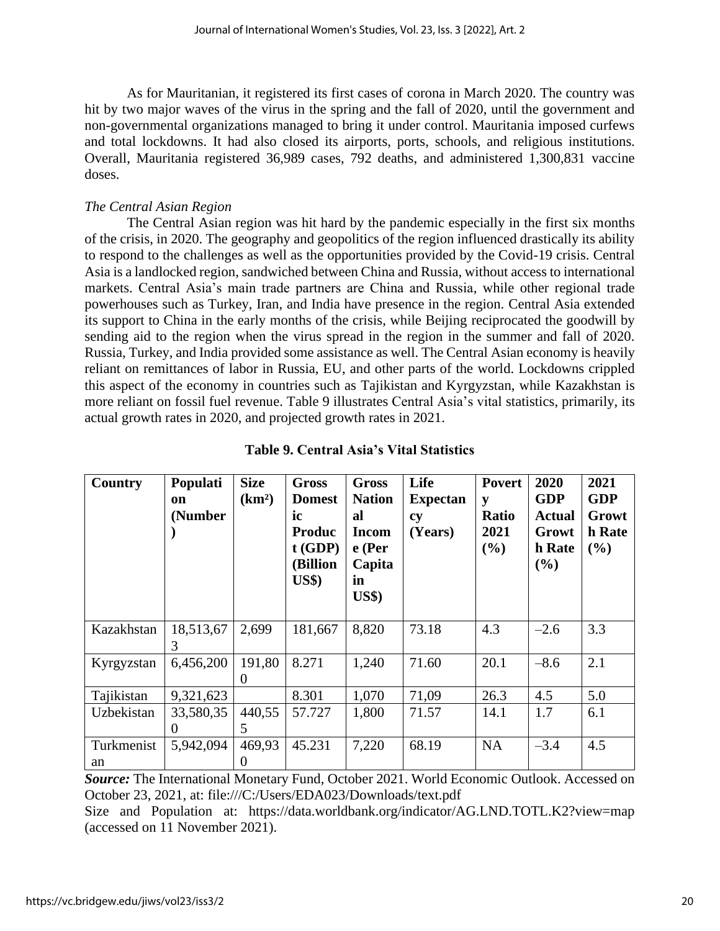As for Mauritanian, it registered its first cases of corona in March 2020. The country was hit by two major waves of the virus in the spring and the fall of 2020, until the government and non-governmental organizations managed to bring it under control. Mauritania imposed curfews and total lockdowns. It had also closed its airports, ports, schools, and religious institutions. Overall, Mauritania registered 36,989 cases, 792 deaths, and administered 1,300,831 vaccine doses.

## *The Central Asian Region*

The Central Asian region was hit hard by the pandemic especially in the first six months of the crisis, in 2020. The geography and geopolitics of the region influenced drastically its ability to respond to the challenges as well as the opportunities provided by the Covid-19 crisis. Central Asia is a landlocked region, sandwiched between China and Russia, without access to international markets. Central Asia's main trade partners are China and Russia, while other regional trade powerhouses such as Turkey, Iran, and India have presence in the region. Central Asia extended its support to China in the early months of the crisis, while Beijing reciprocated the goodwill by sending aid to the region when the virus spread in the region in the summer and fall of 2020. Russia, Turkey, and India provided some assistance as well. The Central Asian economy is heavily reliant on remittances of labor in Russia, EU, and other parts of the world. Lockdowns crippled this aspect of the economy in countries such as Tajikistan and Kyrgyzstan, while Kazakhstan is more reliant on fossil fuel revenue. Table 9 illustrates Central Asia's vital statistics, primarily, its actual growth rates in 2020, and projected growth rates in 2021.

| Country          | Populati<br>on<br>(Number | <b>Size</b><br>(km <sup>2</sup> ) | Gross<br><b>Domest</b><br>ic<br><b>Produc</b><br>$t$ (GDP)<br>(Billion<br>$\mathbf{U}\mathbf{S}\mathbf{\$}$ | <b>Gross</b><br><b>Nation</b><br>al<br><b>Incom</b><br>e (Per<br>Capita<br>in<br><b>US\$)</b> | Life<br><b>Expectan</b><br>cy<br>(Years) | <b>Povert</b><br>y<br><b>Ratio</b><br>2021<br>(%) | 2020<br><b>GDP</b><br><b>Actual</b><br>Growt<br>h Rate<br>(%) | 2021<br><b>GDP</b><br>Growt<br>h Rate<br>(%) |
|------------------|---------------------------|-----------------------------------|-------------------------------------------------------------------------------------------------------------|-----------------------------------------------------------------------------------------------|------------------------------------------|---------------------------------------------------|---------------------------------------------------------------|----------------------------------------------|
| Kazakhstan       | 18,513,67<br>3            | 2,699                             | 181,667                                                                                                     | 8,820                                                                                         | 73.18                                    | 4.3                                               | $-2.6$                                                        | 3.3                                          |
| Kyrgyzstan       | 6,456,200                 | 191,80<br>$\theta$                | 8.271                                                                                                       | 1,240                                                                                         | 71.60                                    | 20.1                                              | $-8.6$                                                        | 2.1                                          |
| Tajikistan       | 9,321,623                 |                                   | 8.301                                                                                                       | 1,070                                                                                         | 71,09                                    | 26.3                                              | 4.5                                                           | 5.0                                          |
| Uzbekistan       | 33,580,35<br>$\theta$     | 440,55<br>5                       | 57.727                                                                                                      | 1,800                                                                                         | 71.57                                    | 14.1                                              | 1.7                                                           | 6.1                                          |
| Turkmenist<br>an | 5,942,094                 | 469,93<br>$\theta$                | 45.231                                                                                                      | 7,220                                                                                         | 68.19                                    | <b>NA</b>                                         | $-3.4$                                                        | 4.5                                          |

## **Table 9. Central Asia's Vital Statistics**

*Source:* The International Monetary Fund, October 2021. World Economic Outlook. Accessed on October 23, 2021, at: file:///C:/Users/EDA023/Downloads/text.pdf

Size and Population at: <https://data.worldbank.org/indicator/AG.LND.TOTL.K2?view=map> (accessed on 11 November 2021).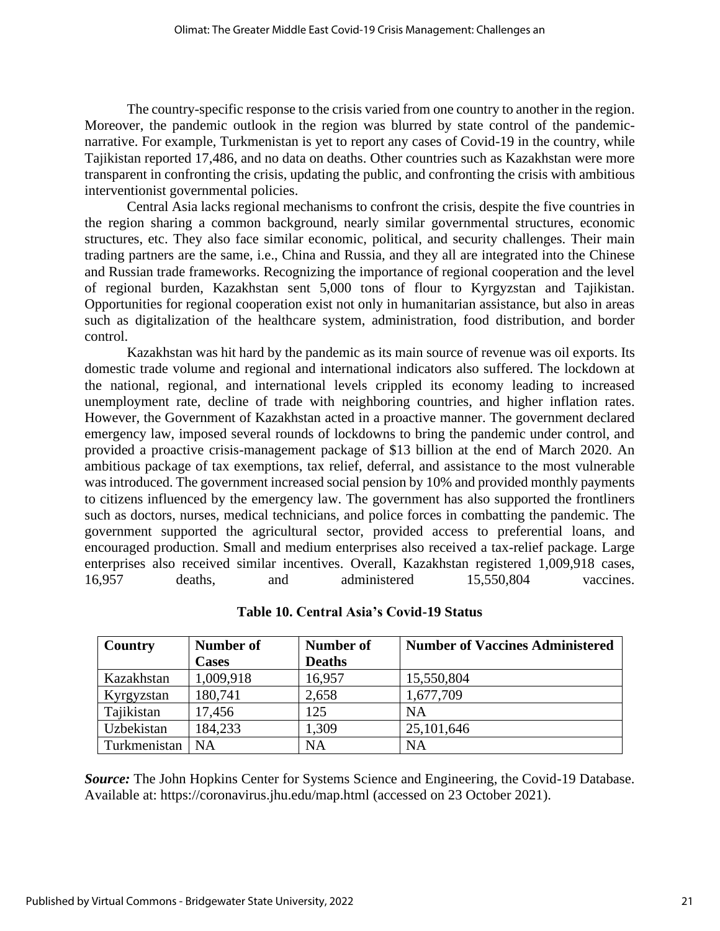The country-specific response to the crisis varied from one country to another in the region. Moreover, the pandemic outlook in the region was blurred by state control of the pandemicnarrative. For example, Turkmenistan is yet to report any cases of Covid-19 in the country, while Tajikistan reported 17,486, and no data on deaths. Other countries such as Kazakhstan were more transparent in confronting the crisis, updating the public, and confronting the crisis with ambitious interventionist governmental policies.

Central Asia lacks regional mechanisms to confront the crisis, despite the five countries in the region sharing a common background, nearly similar governmental structures, economic structures, etc. They also face similar economic, political, and security challenges. Their main trading partners are the same, i.e., China and Russia, and they all are integrated into the Chinese and Russian trade frameworks. Recognizing the importance of regional cooperation and the level of regional burden, Kazakhstan sent 5,000 tons of flour to Kyrgyzstan and Tajikistan. Opportunities for regional cooperation exist not only in humanitarian assistance, but also in areas such as digitalization of the healthcare system, administration, food distribution, and border control.

Kazakhstan was hit hard by the pandemic as its main source of revenue was oil exports. Its domestic trade volume and regional and international indicators also suffered. The lockdown at the national, regional, and international levels crippled its economy leading to increased unemployment rate, decline of trade with neighboring countries, and higher inflation rates. However, the Government of Kazakhstan acted in a proactive manner. The government declared emergency law, imposed several rounds of lockdowns to bring the pandemic under control, and provided a proactive crisis-management package of \$13 billion at the end of March 2020. An ambitious package of tax exemptions, tax relief, deferral, and assistance to the most vulnerable was introduced. The government increased social pension by 10% and provided monthly payments to citizens influenced by the emergency law. The government has also supported the frontliners such as doctors, nurses, medical technicians, and police forces in combatting the pandemic. The government supported the agricultural sector, provided access to preferential loans, and encouraged production. Small and medium enterprises also received a tax-relief package. Large enterprises also received similar incentives. Overall, Kazakhstan registered 1,009,918 cases, 16,957 deaths, and administered 15,550,804 vaccines.

| <b>Country</b> | Number of    | Number of     | <b>Number of Vaccines Administered</b> |
|----------------|--------------|---------------|----------------------------------------|
|                | <b>Cases</b> | <b>Deaths</b> |                                        |
| Kazakhstan     | 1,009,918    | 16,957        | 15,550,804                             |
| Kyrgyzstan     | 180,741      | 2,658         | 1,677,709                              |
| Tajikistan     | 17,456       | 125           | NA                                     |
| Uzbekistan     | 184,233      | 1,309         | 25,101,646                             |
| Turkmenistan   | NA           | <b>NA</b>     | NA                                     |

**Table 10. Central Asia's Covid-19 Status**

*Source:* The John Hopkins Center for Systems Science and Engineering, the Covid-19 Database. Available at:<https://coronavirus.jhu.edu/map.html> (accessed on 23 October 2021).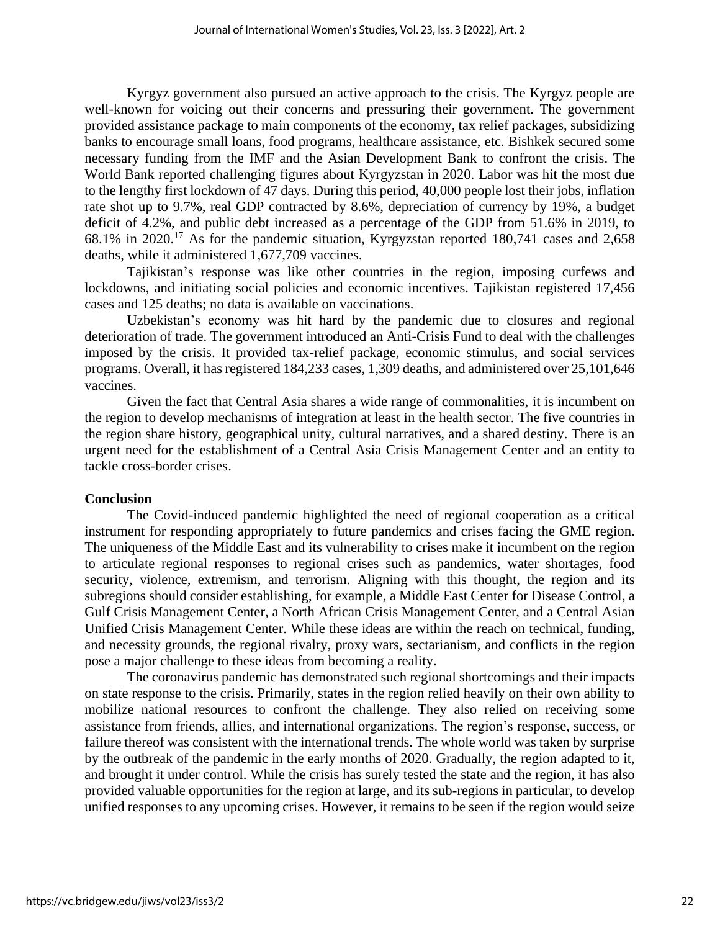Kyrgyz government also pursued an active approach to the crisis. The Kyrgyz people are well-known for voicing out their concerns and pressuring their government. The government provided assistance package to main components of the economy, tax relief packages, subsidizing banks to encourage small loans, food programs, healthcare assistance, etc. Bishkek secured some necessary funding from the IMF and the Asian Development Bank to confront the crisis. The World Bank reported challenging figures about Kyrgyzstan in 2020. Labor was hit the most due to the lengthy first lockdown of 47 days. During this period, 40,000 people lost their jobs, inflation rate shot up to 9.7%, real GDP contracted by 8.6%, depreciation of currency by 19%, a budget deficit of 4.2%, and public debt increased as a percentage of the GDP from 51.6% in 2019, to 68.1% in 2020.<sup>17</sup> As for the pandemic situation, Kyrgyzstan reported 180,741 cases and 2,658 deaths, while it administered 1,677,709 vaccines.

Tajikistan's response was like other countries in the region, imposing curfews and lockdowns, and initiating social policies and economic incentives. Tajikistan registered 17,456 cases and 125 deaths; no data is available on vaccinations.

Uzbekistan's economy was hit hard by the pandemic due to closures and regional deterioration of trade. The government introduced an Anti-Crisis Fund to deal with the challenges imposed by the crisis. It provided tax-relief package, economic stimulus, and social services programs. Overall, it has registered 184,233 cases, 1,309 deaths, and administered over 25,101,646 vaccines.

Given the fact that Central Asia shares a wide range of commonalities, it is incumbent on the region to develop mechanisms of integration at least in the health sector. The five countries in the region share history, geographical unity, cultural narratives, and a shared destiny. There is an urgent need for the establishment of a Central Asia Crisis Management Center and an entity to tackle cross-border crises.

#### **Conclusion**

The Covid-induced pandemic highlighted the need of regional cooperation as a critical instrument for responding appropriately to future pandemics and crises facing the GME region. The uniqueness of the Middle East and its vulnerability to crises make it incumbent on the region to articulate regional responses to regional crises such as pandemics, water shortages, food security, violence, extremism, and terrorism. Aligning with this thought, the region and its subregions should consider establishing, for example, a Middle East Center for Disease Control, a Gulf Crisis Management Center, a North African Crisis Management Center, and a Central Asian Unified Crisis Management Center. While these ideas are within the reach on technical, funding, and necessity grounds, the regional rivalry, proxy wars, sectarianism, and conflicts in the region pose a major challenge to these ideas from becoming a reality.

The coronavirus pandemic has demonstrated such regional shortcomings and their impacts on state response to the crisis. Primarily, states in the region relied heavily on their own ability to mobilize national resources to confront the challenge. They also relied on receiving some assistance from friends, allies, and international organizations. The region's response, success, or failure thereof was consistent with the international trends. The whole world was taken by surprise by the outbreak of the pandemic in the early months of 2020. Gradually, the region adapted to it, and brought it under control. While the crisis has surely tested the state and the region, it has also provided valuable opportunities for the region at large, and its sub-regions in particular, to develop unified responses to any upcoming crises. However, it remains to be seen if the region would seize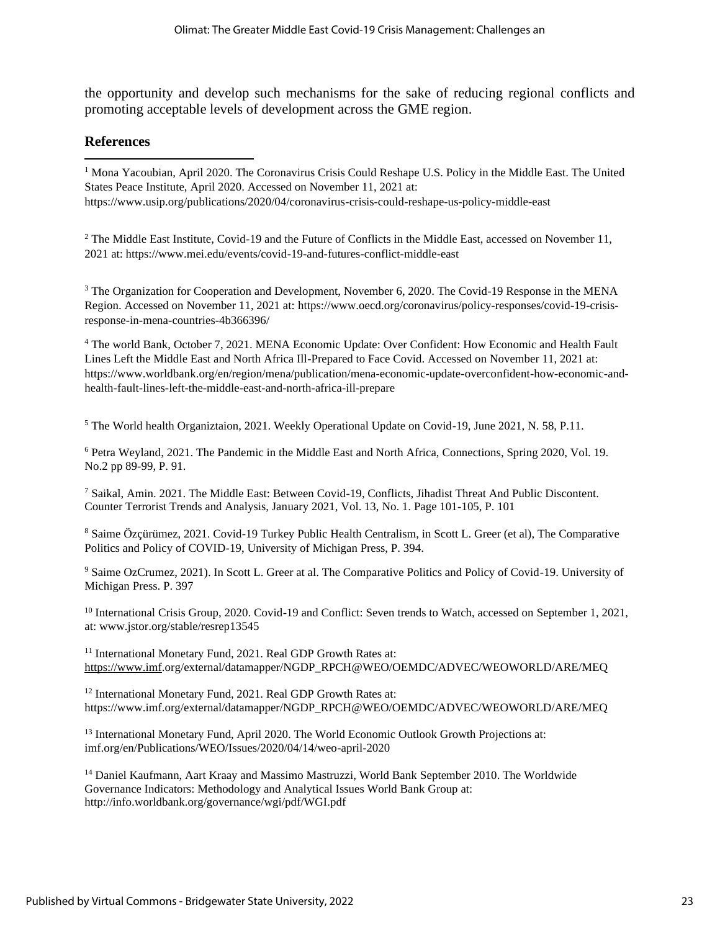the opportunity and develop such mechanisms for the sake of reducing regional conflicts and promoting acceptable levels of development across the GME region.

#### **References**

<sup>1</sup> Mona Yacoubian, April 2020. The Coronavirus Crisis Could Reshape U.S. Policy in the Middle East. The United States Peace Institute, April 2020. Accessed on November 11, 2021 at: https://www.usip.org/publications/2020/04/coronavirus-crisis-could-reshape-us-policy-middle-east

<sup>2</sup> The Middle East Institute, Covid-19 and the Future of Conflicts in the Middle East, accessed on November 11, 2021 at: https://www.mei.edu/events/covid-19-and-futures-conflict-middle-east

<sup>3</sup> The Organization for Cooperation and Development, November 6, 2020. The Covid-19 Response in the MENA Region. Accessed on November 11, 2021 at: [https://www.oecd.org/coronavirus/policy-responses/covid-19-crisis](https://www.oecd.org/coronavirus/policy-responses/covid-19-crisis-response-in-mena-countries-4b366396/)[response-in-mena-countries-4b366396/](https://www.oecd.org/coronavirus/policy-responses/covid-19-crisis-response-in-mena-countries-4b366396/)

<sup>4</sup> The world Bank, October 7, 2021. MENA Economic Update: Over Confident: How Economic and Health Fault Lines Left the Middle East and North Africa Ill-Prepared to Face Covid. Accessed on November 11, 2021 at: https://www.worldbank.org/en/region/mena/publication/mena-economic-update-overconfident-how-economic-andhealth-fault-lines-left-the-middle-east-and-north-africa-ill-prepare

<sup>5</sup> The World health Organiztaion, 2021. Weekly Operational Update on Covid-19, June 2021, N. 58, P.11.

<sup>6</sup> Petra Weyland, 2021. The Pandemic in the Middle East and North Africa, Connections, Spring 2020, Vol. 19. No.2 pp 89-99, P. 91.

<sup>7</sup> Saikal, Amin. 2021. The Middle East: Between Covid-19, Conflicts, Jihadist Threat And Public Discontent. Counter Terrorist Trends and Analysis, January 2021, Vol. 13, No. 1. Page 101-105, P. 101

<sup>8</sup> Saime Özçürümez, 2021. Covid-19 Turkey Public Health Centralism, in Scott L. Greer (et al), The Comparative Politics and Policy of COVID-19, University of Michigan Press, P. 394.

<sup>9</sup> Saime OzCrumez, 2021). In Scott L. Greer at al. The Comparative Politics and Policy of Covid-19. University of Michigan Press. P. 397

<sup>10</sup> International Crisis Group, 2020. Covid-19 and Conflict: Seven trends to Watch, accessed on September 1, 2021, at: www.jstor.org/stable/resrep13545

<sup>11</sup> International Monetary Fund, 2021. Real GDP Growth Rates at: [https://www.i](https://www/)mf.org/external/datamapper/NGDP\_RPCH@WEO/OEMDC/ADVEC/WEOWORLD/ARE/MEQ

<sup>12</sup> International Monetary Fund, 2021. Real GDP Growth Rates at: https://www.imf.org/external/datamapper/NGDP\_RPCH@WEO/OEMDC/ADVEC/WEOWORLD/ARE/MEQ

<sup>13</sup> International Monetary Fund, April 2020. The World Economic Outlook Growth Projections at: imf.org/en/Publications/WEO/Issues/2020/04/14/weo-april-2020

<sup>14</sup> Daniel Kaufmann, Aart Kraay and Massimo Mastruzzi, World Bank September 2010. The Worldwide Governance Indicators: Methodology and Analytical Issues World Bank Group at: http://info.worldbank.org/governance/wgi/pdf/WGI.pdf